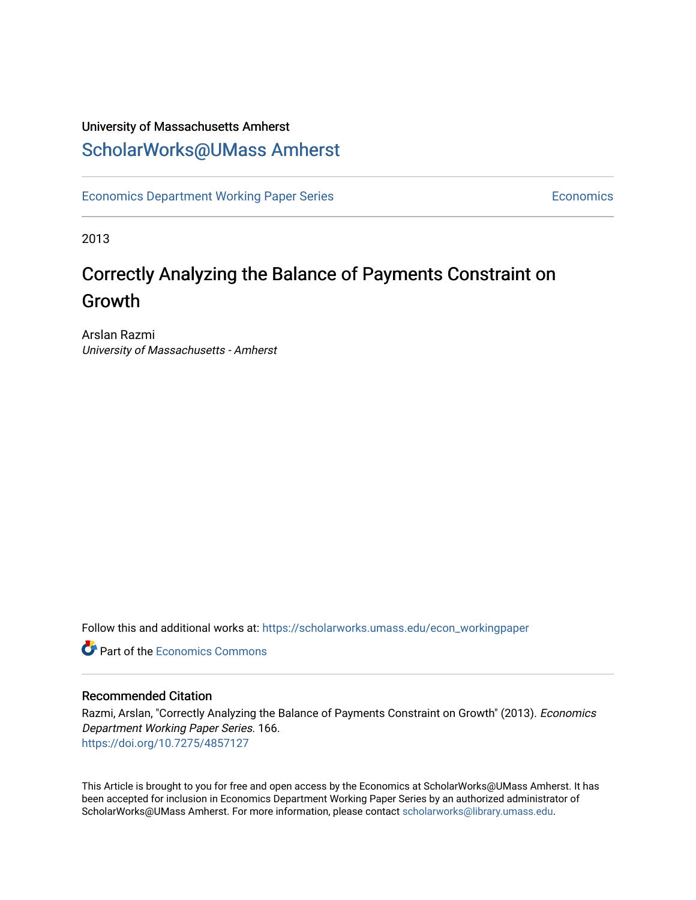### University of Massachusetts Amherst [ScholarWorks@UMass Amherst](https://scholarworks.umass.edu/)

[Economics Department Working Paper Series](https://scholarworks.umass.edu/econ_workingpaper) **Economics** Economics

2013

## Correctly Analyzing the Balance of Payments Constraint on Growth

Arslan Razmi University of Massachusetts - Amherst

Follow this and additional works at: [https://scholarworks.umass.edu/econ\\_workingpaper](https://scholarworks.umass.edu/econ_workingpaper?utm_source=scholarworks.umass.edu%2Fecon_workingpaper%2F166&utm_medium=PDF&utm_campaign=PDFCoverPages) 

**C** Part of the [Economics Commons](http://network.bepress.com/hgg/discipline/340?utm_source=scholarworks.umass.edu%2Fecon_workingpaper%2F166&utm_medium=PDF&utm_campaign=PDFCoverPages)

#### Recommended Citation

Razmi, Arslan, "Correctly Analyzing the Balance of Payments Constraint on Growth" (2013). Economics Department Working Paper Series. 166. <https://doi.org/10.7275/4857127>

This Article is brought to you for free and open access by the Economics at ScholarWorks@UMass Amherst. It has been accepted for inclusion in Economics Department Working Paper Series by an authorized administrator of ScholarWorks@UMass Amherst. For more information, please contact [scholarworks@library.umass.edu.](mailto:scholarworks@library.umass.edu)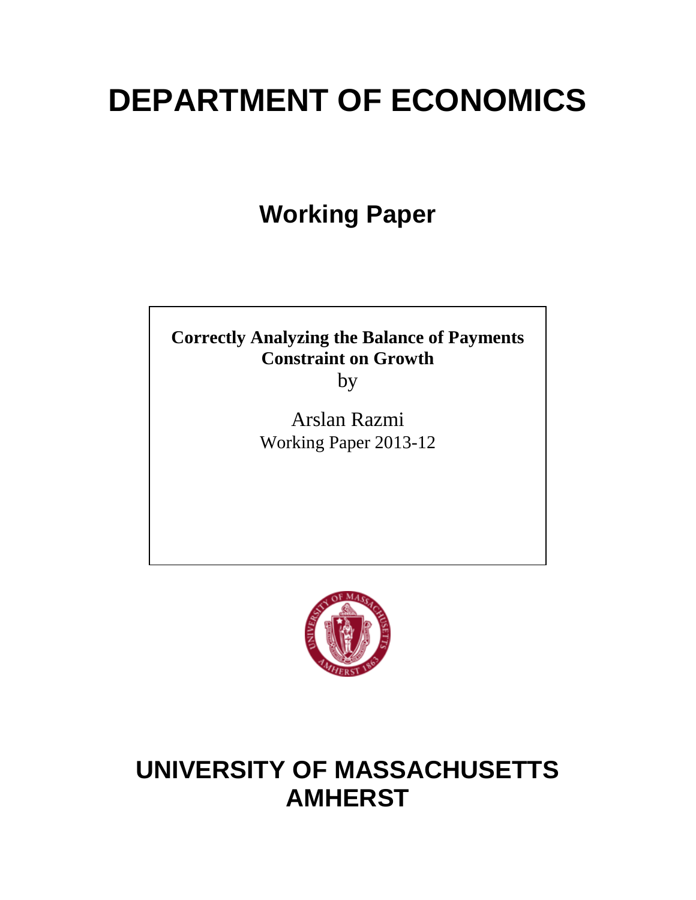# **DEPARTMENT OF ECONOMICS**

**Working Paper**

**Correctly Analyzing the Balance of Payments Constraint on Growth**

by

Arslan Razmi Working Paper 2013-12



## **UNIVERSITY OF MASSACHUSETTS AMHERST**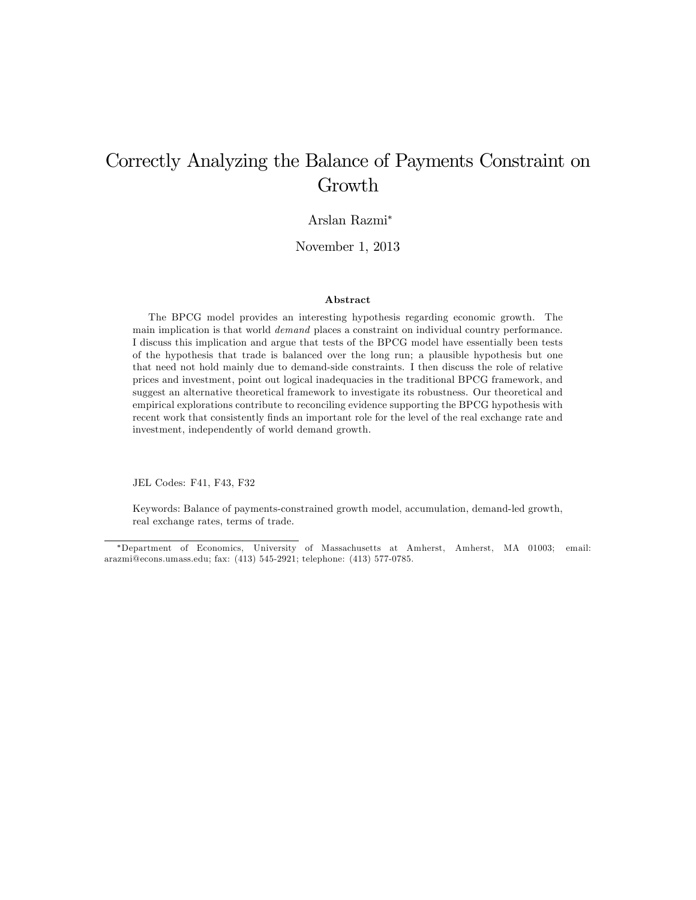## Correctly Analyzing the Balance of Payments Constraint on Growth

#### Arslan Razmi

November 1, 2013

#### Abstract

The BPCG model provides an interesting hypothesis regarding economic growth. The main implication is that world demand places a constraint on individual country performance. I discuss this implication and argue that tests of the BPCG model have essentially been tests of the hypothesis that trade is balanced over the long run; a plausible hypothesis but one that need not hold mainly due to demand-side constraints. I then discuss the role of relative prices and investment, point out logical inadequacies in the traditional BPCG framework, and suggest an alternative theoretical framework to investigate its robustness. Our theoretical and empirical explorations contribute to reconciling evidence supporting the BPCG hypothesis with recent work that consistently finds an important role for the level of the real exchange rate and investment, independently of world demand growth.

JEL Codes: F41, F43, F32

Keywords: Balance of payments-constrained growth model, accumulation, demand-led growth, real exchange rates, terms of trade.

Department of Economics, University of Massachusetts at Amherst, Amherst, MA 01003; email: arazmi@econs.umass.edu; fax: (413) 545-2921; telephone: (413) 577-0785.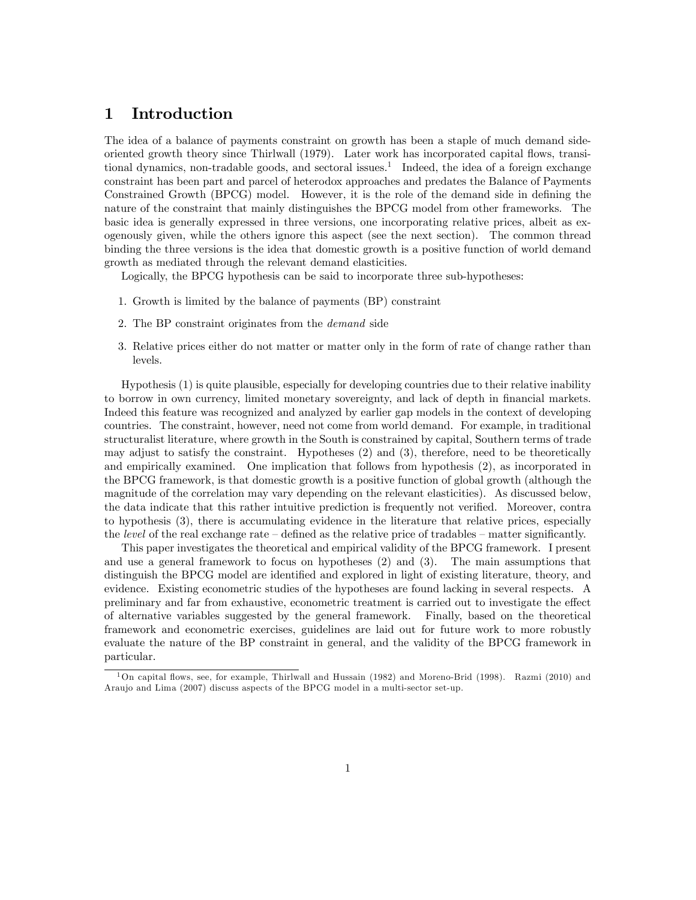#### 1 Introduction

The idea of a balance of payments constraint on growth has been a staple of much demand sideoriented growth theory since Thirlwall (1979). Later work has incorporated capital áows, transitional dynamics, non-tradable goods, and sectoral issues.<sup>1</sup> Indeed, the idea of a foreign exchange constraint has been part and parcel of heterodox approaches and predates the Balance of Payments Constrained Growth (BPCG) model. However, it is the role of the demand side in defining the nature of the constraint that mainly distinguishes the BPCG model from other frameworks. The basic idea is generally expressed in three versions, one incorporating relative prices, albeit as exogenously given, while the others ignore this aspect (see the next section). The common thread binding the three versions is the idea that domestic growth is a positive function of world demand growth as mediated through the relevant demand elasticities.

Logically, the BPCG hypothesis can be said to incorporate three sub-hypotheses:

- 1. Growth is limited by the balance of payments (BP) constraint
- 2. The BP constraint originates from the demand side
- 3. Relative prices either do not matter or matter only in the form of rate of change rather than levels.

Hypothesis (1) is quite plausible, especially for developing countries due to their relative inability to borrow in own currency, limited monetary sovereignty, and lack of depth in financial markets. Indeed this feature was recognized and analyzed by earlier gap models in the context of developing countries. The constraint, however, need not come from world demand. For example, in traditional structuralist literature, where growth in the South is constrained by capital, Southern terms of trade may adjust to satisfy the constraint. Hypotheses (2) and (3), therefore, need to be theoretically and empirically examined. One implication that follows from hypothesis (2), as incorporated in the BPCG framework, is that domestic growth is a positive function of global growth (although the magnitude of the correlation may vary depending on the relevant elasticities). As discussed below, the data indicate that this rather intuitive prediction is frequently not verified. Moreover, contra to hypothesis (3), there is accumulating evidence in the literature that relative prices, especially the level of the real exchange rate  $-\text{defined}$  as the relative price of tradables  $-\text{matter}$  significantly.

This paper investigates the theoretical and empirical validity of the BPCG framework. I present and use a general framework to focus on hypotheses (2) and (3). The main assumptions that distinguish the BPCG model are identified and explored in light of existing literature, theory, and evidence. Existing econometric studies of the hypotheses are found lacking in several respects. A preliminary and far from exhaustive, econometric treatment is carried out to investigate the effect of alternative variables suggested by the general framework. Finally, based on the theoretical framework and econometric exercises, guidelines are laid out for future work to more robustly evaluate the nature of the BP constraint in general, and the validity of the BPCG framework in particular.

<sup>1</sup>On capital áows, see, for example, Thirlwall and Hussain (1982) and Moreno-Brid (1998). Razmi (2010) and Araujo and Lima (2007) discuss aspects of the BPCG model in a multi-sector set-up.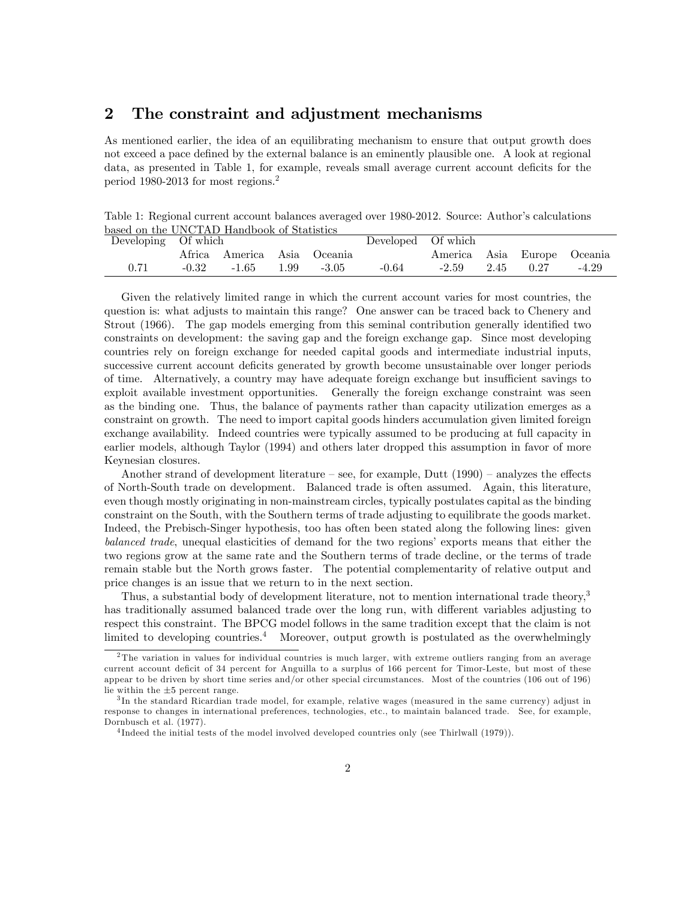#### 2 The constraint and adjustment mechanisms

As mentioned earlier, the idea of an equilibrating mechanism to ensure that output growth does not exceed a pace defined by the external balance is an eminently plausible one. A look at regional data, as presented in Table 1, for example, reveals small average current account deficits for the period 1980-2013 for most regions.<sup>2</sup>

Table 1: Regional current account balances averaged over 1980-2012. Source: Author's calculations based on the UNCTAD Handbook of Statistics

| Developing Of which |         |                             |                        | Developed Of which |                             |  |                               |  |  |
|---------------------|---------|-----------------------------|------------------------|--------------------|-----------------------------|--|-------------------------------|--|--|
|                     |         | Africa America Asia Oceania |                        |                    | America Asia Europe Oceania |  |                               |  |  |
| 0.71                | $-0.32$ |                             | $-1.65$ $1.99$ $-3.05$ | -0.64              |                             |  | $-2.59$ $2.45$ $0.27$ $-4.29$ |  |  |

Given the relatively limited range in which the current account varies for most countries, the question is: what adjusts to maintain this range? One answer can be traced back to Chenery and Strout (1966). The gap models emerging from this seminal contribution generally identified two constraints on development: the saving gap and the foreign exchange gap. Since most developing countries rely on foreign exchange for needed capital goods and intermediate industrial inputs, successive current account deficits generated by growth become unsustainable over longer periods of time. Alternatively, a country may have adequate foreign exchange but insufficient savings to exploit available investment opportunities. Generally the foreign exchange constraint was seen as the binding one. Thus, the balance of payments rather than capacity utilization emerges as a constraint on growth. The need to import capital goods hinders accumulation given limited foreign exchange availability. Indeed countries were typically assumed to be producing at full capacity in earlier models, although Taylor (1994) and others later dropped this assumption in favor of more Keynesian closures.

Another strand of development literature  $-$  see, for example, Dutt (1990)  $-$  analyzes the effects of North-South trade on development. Balanced trade is often assumed. Again, this literature, even though mostly originating in non-mainstream circles, typically postulates capital as the binding constraint on the South, with the Southern terms of trade adjusting to equilibrate the goods market. Indeed, the Prebisch-Singer hypothesis, too has often been stated along the following lines: given balanced trade, unequal elasticities of demand for the two regions' exports means that either the two regions grow at the same rate and the Southern terms of trade decline, or the terms of trade remain stable but the North grows faster. The potential complementarity of relative output and price changes is an issue that we return to in the next section.

Thus, a substantial body of development literature, not to mention international trade theory,<sup>3</sup> has traditionally assumed balanced trade over the long run, with different variables adjusting to respect this constraint. The BPCG model follows in the same tradition except that the claim is not limited to developing countries.<sup>4</sup> Moreover, output growth is postulated as the overwhelmingly

<sup>&</sup>lt;sup>2</sup>The variation in values for individual countries is much larger, with extreme outliers ranging from an average current account deficit of 34 percent for Anguilla to a surplus of 166 percent for Timor-Leste, but most of these appear to be driven by short time series and/or other special circumstances. Most of the countries (106 out of 196) lie within the  $\pm 5$  percent range.

<sup>&</sup>lt;sup>3</sup>In the standard Ricardian trade model, for example, relative wages (measured in the same currency) adjust in response to changes in international preferences, technologies, etc., to maintain balanced trade. See, for example, Dornbusch et al. (1977).

<sup>&</sup>lt;sup>4</sup>Indeed the initial tests of the model involved developed countries only (see Thirlwall (1979)).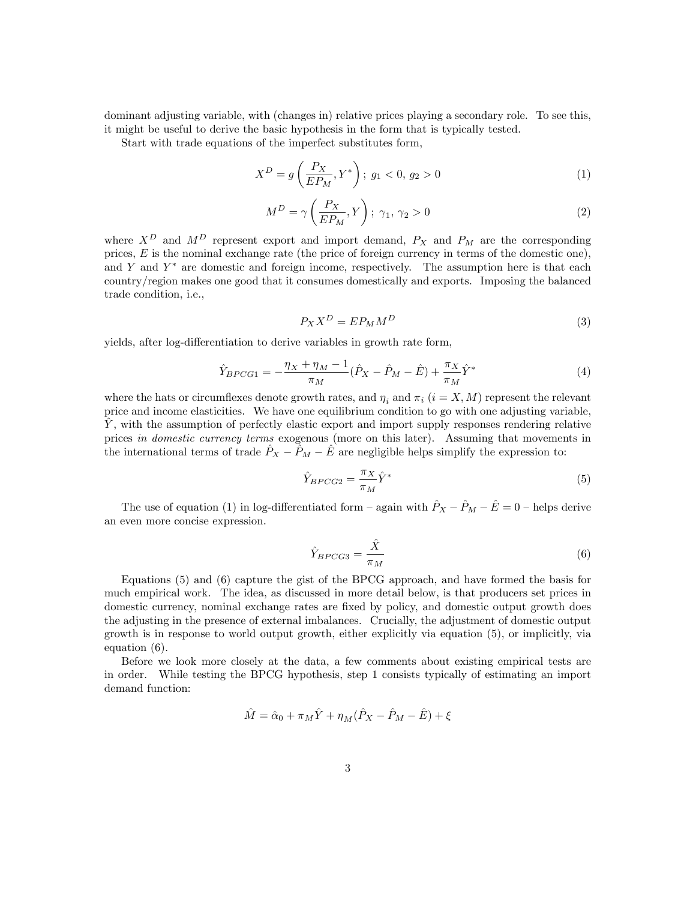dominant adjusting variable, with (changes in) relative prices playing a secondary role. To see this, it might be useful to derive the basic hypothesis in the form that is typically tested.

Start with trade equations of the imperfect substitutes form,

$$
X^{D} = g\left(\frac{P_{X}}{EP_{M}}, Y^{*}\right); g_{1} < 0, g_{2} > 0
$$
\n(1)

$$
M^D = \gamma \left(\frac{P_X}{E P_M}, Y\right); \ \gamma_1, \ \gamma_2 > 0 \tag{2}
$$

where  $X^D$  and  $M^D$  represent export and import demand,  $P_X$  and  $P_M$  are the corresponding prices,  $E$  is the nominal exchange rate (the price of foreign currency in terms of the domestic one), and Y and  $Y^*$  are domestic and foreign income, respectively. The assumption here is that each country/region makes one good that it consumes domestically and exports. Imposing the balanced trade condition, i.e.,

$$
P_X X^D = E P_M M^D \tag{3}
$$

yields, after log-differentiation to derive variables in growth rate form,

$$
\hat{Y}_{BPCG1} = -\frac{\eta_X + \eta_M - 1}{\pi_M} (\hat{P}_X - \hat{P}_M - \hat{E}) + \frac{\pi_X}{\pi_M} \hat{Y}^*
$$
\n(4)

where the hats or circumflexes denote growth rates, and  $\eta_i$  and  $\pi_i$  ( $i = X, M$ ) represent the relevant price and income elasticities. We have one equilibrium condition to go with one adjusting variable,  $\hat{Y}$ , with the assumption of perfectly elastic export and import supply responses rendering relative prices in domestic currency terms exogenous (more on this later). Assuming that movements in the international terms of trade  $\hat{P}_X - \hat{P}_M - \hat{E}$  are negligible helps simplify the expression to:

$$
\hat{Y}_{BPCG2} = \frac{\pi_X}{\pi_M} \hat{Y}^*
$$
\n(5)

The use of equation (1) in log-differentiated form – again with  $\hat{P}_X - \hat{P}_M - \hat{E} = 0$  – helps derive an even more concise expression.

$$
\hat{Y}_{BPCG3} = \frac{\hat{X}}{\pi_M} \tag{6}
$$

Equations (5) and (6) capture the gist of the BPCG approach, and have formed the basis for much empirical work. The idea, as discussed in more detail below, is that producers set prices in domestic currency, nominal exchange rates are fixed by policy, and domestic output growth does the adjusting in the presence of external imbalances. Crucially, the adjustment of domestic output growth is in response to world output growth, either explicitly via equation (5), or implicitly, via equation (6).

Before we look more closely at the data, a few comments about existing empirical tests are in order. While testing the BPCG hypothesis, step 1 consists typically of estimating an import demand function:

$$
\hat{M} = \hat{\alpha}_0 + \pi_M \hat{Y} + \eta_M (\hat{P}_X - \hat{P}_M - \hat{E}) + \xi
$$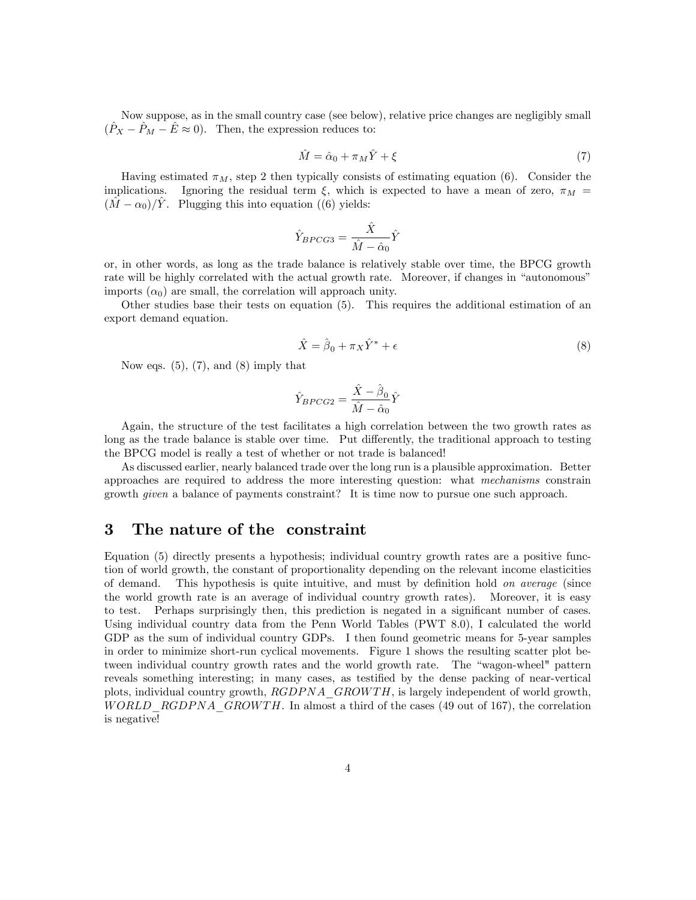Now suppose, as in the small country case (see below), relative price changes are negligibly small  $(P_X - P_M - E \approx 0)$ . Then, the expression reduces to:

$$
\hat{M} = \hat{\alpha}_0 + \pi_M \hat{Y} + \xi \tag{7}
$$

Having estimated  $\pi_M$ , step 2 then typically consists of estimating equation (6). Consider the implications. Ignoring the residual term  $\xi$ , which is expected to have a mean of zero,  $\pi_M$  =  $(M - \alpha_0)/\overline{Y}$ . Plugging this into equation ((6) yields:

$$
\hat{Y}_{BPCG3} = \frac{\hat{X}}{\hat{M} - \hat{\alpha}_0} \hat{Y}
$$

or, in other words, as long as the trade balance is relatively stable over time, the BPCG growth rate will be highly correlated with the actual growth rate. Moreover, if changes in "autonomous" imports  $(\alpha_0)$  are small, the correlation will approach unity.

Other studies base their tests on equation (5). This requires the additional estimation of an export demand equation.

$$
\hat{X} = \hat{\beta}_0 + \pi_X \hat{Y}^* + \epsilon \tag{8}
$$

Now eqs.  $(5)$ ,  $(7)$ , and  $(8)$  imply that

$$
\hat{Y}_{BPCG2} = \frac{\hat{X} - \hat{\beta}_0}{\hat{M} - \hat{\alpha}_0} \hat{Y}
$$

Again, the structure of the test facilitates a high correlation between the two growth rates as long as the trade balance is stable over time. Put differently, the traditional approach to testing the BPCG model is really a test of whether or not trade is balanced!

As discussed earlier, nearly balanced trade over the long run is a plausible approximation. Better approaches are required to address the more interesting question: what mechanisms constrain growth given a balance of payments constraint? It is time now to pursue one such approach.

#### 3 The nature of the constraint

Equation (5) directly presents a hypothesis; individual country growth rates are a positive function of world growth, the constant of proportionality depending on the relevant income elasticities of demand. This hypothesis is quite intuitive, and must by definition hold on average (since the world growth rate is an average of individual country growth rates). Moreover, it is easy to test. Perhaps surprisingly then, this prediction is negated in a significant number of cases. Using individual country data from the Penn World Tables (PWT 8.0), I calculated the world GDP as the sum of individual country GDPs. I then found geometric means for 5-year samples in order to minimize short-run cyclical movements. Figure 1 shows the resulting scatter plot between individual country growth rates and the world growth rate. The "wagon-wheel" pattern reveals something interesting; in many cases, as testified by the dense packing of near-vertical plots, individual country growth,  $RGDPNA\quad GROW TH$ , is largely independent of world growth, WORLD RGDPNA GROWTH. In almost a third of the cases (49 out of 167), the correlation is negative!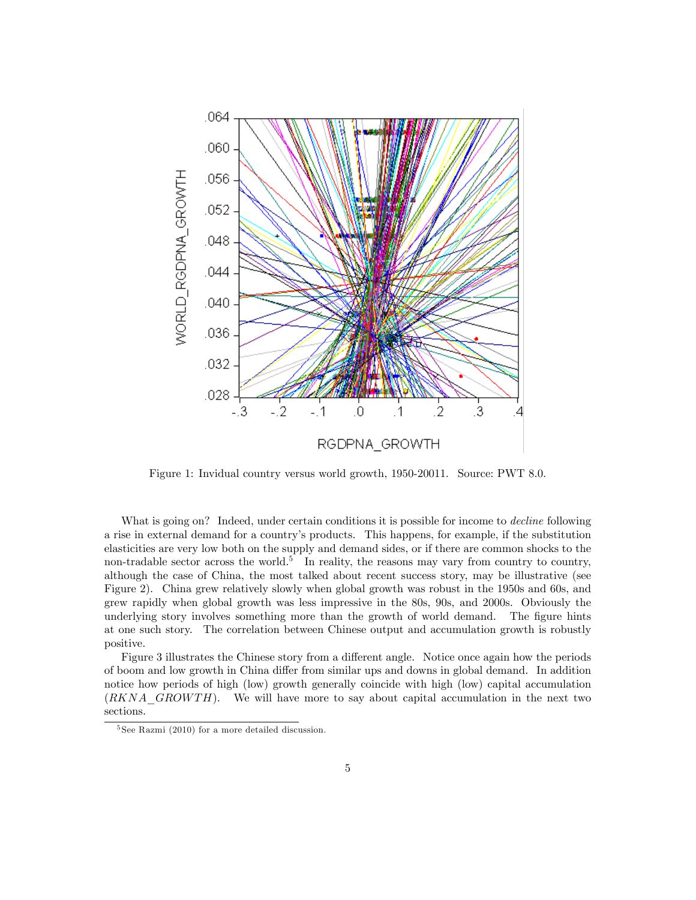

Figure 1: Invidual country versus world growth, 1950-20011. Source: PWT 8.0.

What is going on? Indeed, under certain conditions it is possible for income to *decline* following a rise in external demand for a countryís products. This happens, for example, if the substitution elasticities are very low both on the supply and demand sides, or if there are common shocks to the non-tradable sector across the world.<sup>5</sup> In reality, the reasons may vary from country to country, although the case of China, the most talked about recent success story, may be illustrative (see Figure 2). China grew relatively slowly when global growth was robust in the 1950s and 60s, and grew rapidly when global growth was less impressive in the 80s, 90s, and 2000s. Obviously the underlying story involves something more than the growth of world demand. The figure hints at one such story. The correlation between Chinese output and accumulation growth is robustly positive.

Figure 3 illustrates the Chinese story from a different angle. Notice once again how the periods of boom and low growth in China differ from similar ups and downs in global demand. In addition notice how periods of high (low) growth generally coincide with high (low) capital accumulation  $(RKNA \text{ GROW} TH)$ . We will have more to say about capital accumulation in the next two sections.

 $5$  See Razmi (2010) for a more detailed discussion.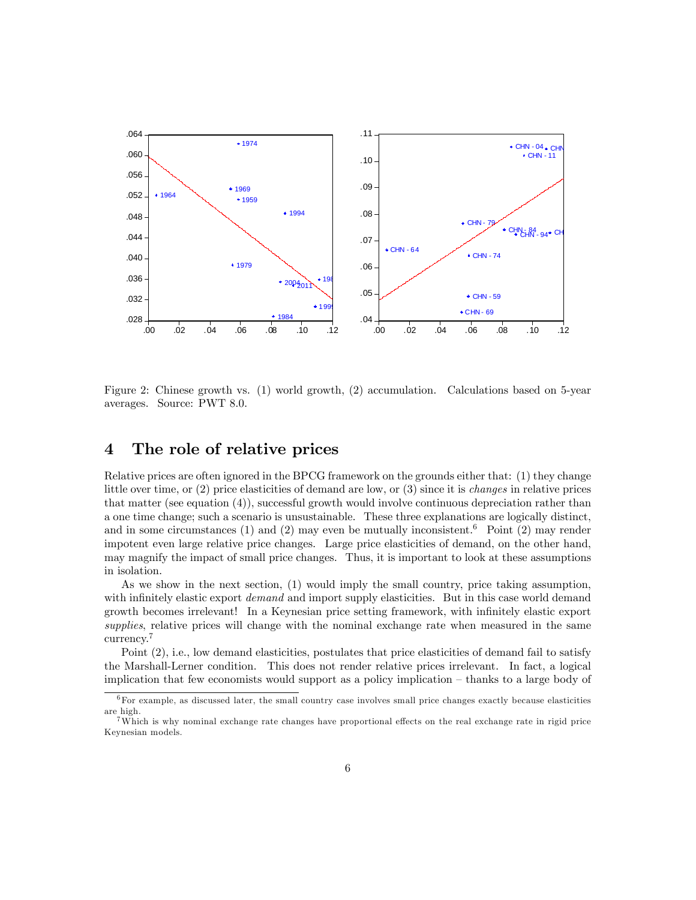

Figure 2: Chinese growth vs. (1) world growth, (2) accumulation. Calculations based on 5-year averages. Source: PWT 8.0.

#### 4 The role of relative prices

Relative prices are often ignored in the BPCG framework on the grounds either that: (1) they change little over time, or (2) price elasticities of demand are low, or (3) since it is changes in relative prices that matter (see equation (4)), successful growth would involve continuous depreciation rather than a one time change; such a scenario is unsustainable. These three explanations are logically distinct, and in some circumstances (1) and (2) may even be mutually inconsistent.<sup>6</sup> Point (2) may render impotent even large relative price changes. Large price elasticities of demand, on the other hand, may magnify the impact of small price changes. Thus, it is important to look at these assumptions in isolation.

As we show in the next section, (1) would imply the small country, price taking assumption, with infinitely elastic export *demand* and import supply elasticities. But in this case world demand growth becomes irrelevant! In a Keynesian price setting framework, with infinitely elastic export supplies, relative prices will change with the nominal exchange rate when measured in the same currency.<sup>7</sup>

Point (2), i.e., low demand elasticities, postulates that price elasticities of demand fail to satisfy the Marshall-Lerner condition. This does not render relative prices irrelevant. In fact, a logical implication that few economists would support as a policy implication  $-$  thanks to a large body of

 $6$ For example, as discussed later, the small country case involves small price changes exactly because elasticities are high.

<sup>&</sup>lt;sup>7</sup>Which is why nominal exchange rate changes have proportional effects on the real exchange rate in rigid price Keynesian models.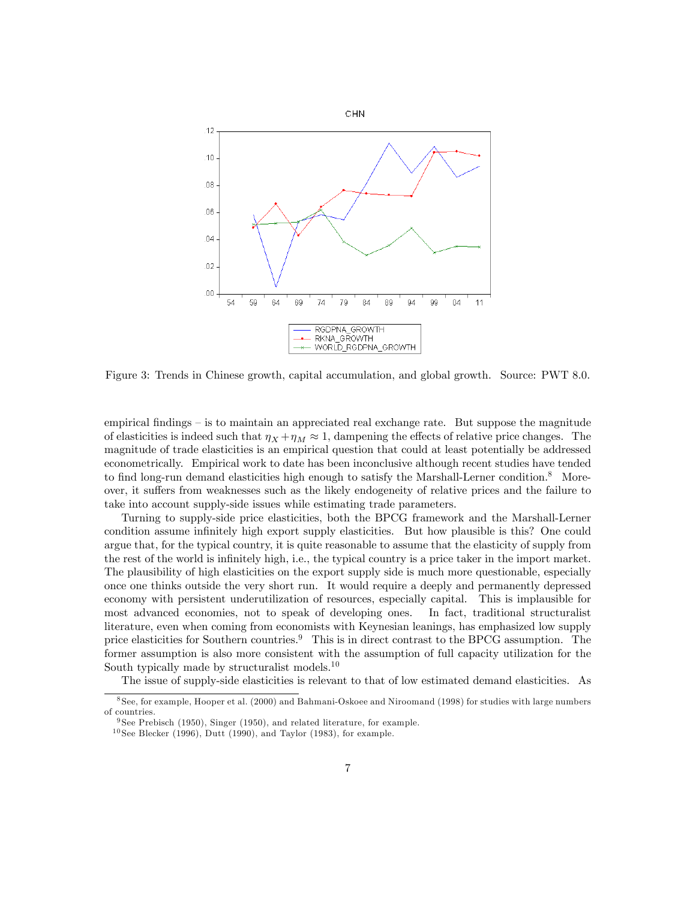

Figure 3: Trends in Chinese growth, capital accumulation, and global growth. Source: PWT 8.0.

empirical findings  $\overline{\phantom{a}}$  is to maintain an appreciated real exchange rate. But suppose the magnitude of elasticities is indeed such that  $\eta_X + \eta_M \approx 1$ , dampening the effects of relative price changes. The magnitude of trade elasticities is an empirical question that could at least potentially be addressed econometrically. Empirical work to date has been inconclusive although recent studies have tended to find long-run demand elasticities high enough to satisfy the Marshall-Lerner condition.<sup>8</sup> Moreover, it suffers from weaknesses such as the likely endogeneity of relative prices and the failure to take into account supply-side issues while estimating trade parameters.

Turning to supply-side price elasticities, both the BPCG framework and the Marshall-Lerner condition assume infinitely high export supply elasticities. But how plausible is this? One could argue that, for the typical country, it is quite reasonable to assume that the elasticity of supply from the rest of the world is infinitely high, i.e., the typical country is a price taker in the import market. The plausibility of high elasticities on the export supply side is much more questionable, especially once one thinks outside the very short run. It would require a deeply and permanently depressed economy with persistent underutilization of resources, especially capital. This is implausible for most advanced economies, not to speak of developing ones. In fact, traditional structuralist literature, even when coming from economists with Keynesian leanings, has emphasized low supply price elasticities for Southern countries.<sup>9</sup> This is in direct contrast to the BPCG assumption. The former assumption is also more consistent with the assumption of full capacity utilization for the South typically made by structuralist models.<sup>10</sup>

The issue of supply-side elasticities is relevant to that of low estimated demand elasticities. As

<sup>8</sup> See, for example, Hooper et al. (2000) and Bahmani-Oskoee and Niroomand (1998) for studies with large numbers of countries.

 $9$  See Prebisch (1950), Singer (1950), and related literature, for example.

 $10$  See Blecker (1996), Dutt (1990), and Taylor (1983), for example.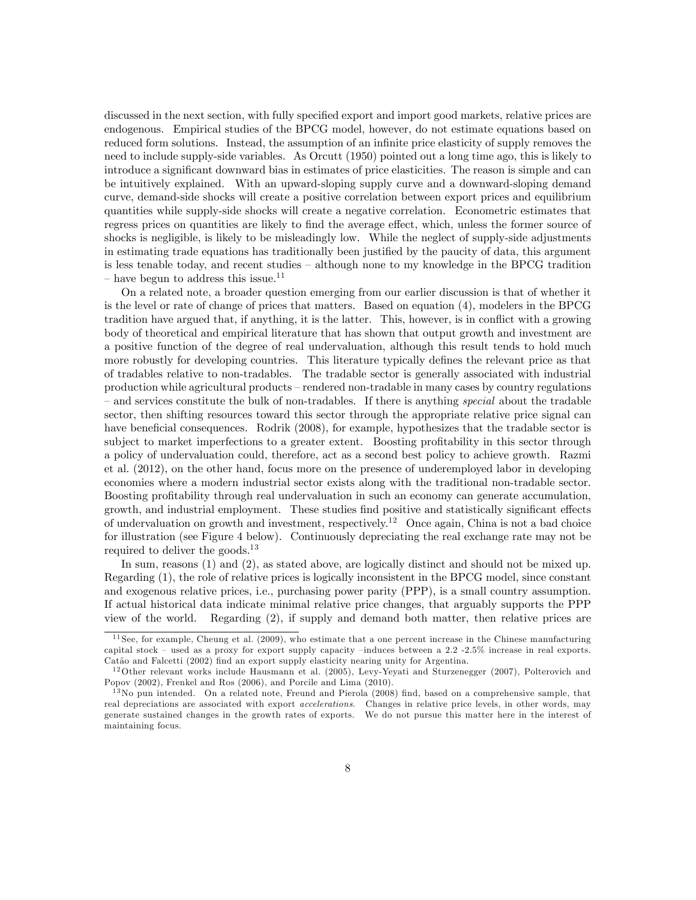discussed in the next section, with fully specified export and import good markets, relative prices are endogenous. Empirical studies of the BPCG model, however, do not estimate equations based on reduced form solutions. Instead, the assumption of an infinite price elasticity of supply removes the need to include supply-side variables. As Orcutt (1950) pointed out a long time ago, this is likely to introduce a significant downward bias in estimates of price elasticities. The reason is simple and can be intuitively explained. With an upward-sloping supply curve and a downward-sloping demand curve, demand-side shocks will create a positive correlation between export prices and equilibrium quantities while supply-side shocks will create a negative correlation. Econometric estimates that regress prices on quantities are likely to find the average effect, which, unless the former source of shocks is negligible, is likely to be misleadingly low. While the neglect of supply-side adjustments in estimating trade equations has traditionally been justified by the paucity of data, this argument is less tenable today, and recent studies  $-$  although none to my knowledge in the BPCG tradition  $h$  have begun to address this issue.<sup>11</sup>

On a related note, a broader question emerging from our earlier discussion is that of whether it is the level or rate of change of prices that matters. Based on equation (4), modelers in the BPCG tradition have argued that, if anything, it is the latter. This, however, is in conflict with a growing body of theoretical and empirical literature that has shown that output growth and investment are a positive function of the degree of real undervaluation, although this result tends to hold much more robustly for developing countries. This literature typically defines the relevant price as that of tradables relative to non-tradables. The tradable sector is generally associated with industrial production while agricultural products – rendered non-tradable in many cases by country regulations – and services constitute the bulk of non-tradables. If there is anything special about the tradable sector, then shifting resources toward this sector through the appropriate relative price signal can have beneficial consequences. Rodrik (2008), for example, hypothesizes that the tradable sector is subject to market imperfections to a greater extent. Boosting profitability in this sector through a policy of undervaluation could, therefore, act as a second best policy to achieve growth. Razmi et al. (2012), on the other hand, focus more on the presence of underemployed labor in developing economies where a modern industrial sector exists along with the traditional non-tradable sector. Boosting profitability through real undervaluation in such an economy can generate accumulation, growth, and industrial employment. These studies find positive and statistically significant effects of undervaluation on growth and investment, respectively.<sup>12</sup> Once again, China is not a bad choice for illustration (see Figure 4 below). Continuously depreciating the real exchange rate may not be required to deliver the goods.<sup>13</sup>

In sum, reasons (1) and (2), as stated above, are logically distinct and should not be mixed up. Regarding (1), the role of relative prices is logically inconsistent in the BPCG model, since constant and exogenous relative prices, i.e., purchasing power parity (PPP), is a small country assumption. If actual historical data indicate minimal relative price changes, that arguably supports the PPP view of the world. Regarding (2), if supply and demand both matter, then relative prices are

 $11$  See, for example, Cheung et al. (2009), who estimate that a one percent increase in the Chinese manufacturing capital stock – used as a proxy for export supply capacity  $-$ induces between a 2.2  $-2.5\%$  increase in real exports. Catão and Falcetti (2002) find an export supply elasticity nearing unity for Argentina.

<sup>&</sup>lt;sup>12</sup>Other relevant works include Hausmann et al. (2005), Levy-Yeyati and Sturzenegger (2007), Polterovich and Popov (2002), Frenkel and Ros (2006), and Porcile and Lima (2010).

 $13$ No pun intended. On a related note, Freund and Pierola  $(2008)$  find, based on a comprehensive sample, that real depreciations are associated with export accelerations. Changes in relative price levels, in other words, may generate sustained changes in the growth rates of exports. We do not pursue this matter here in the interest of maintaining focus.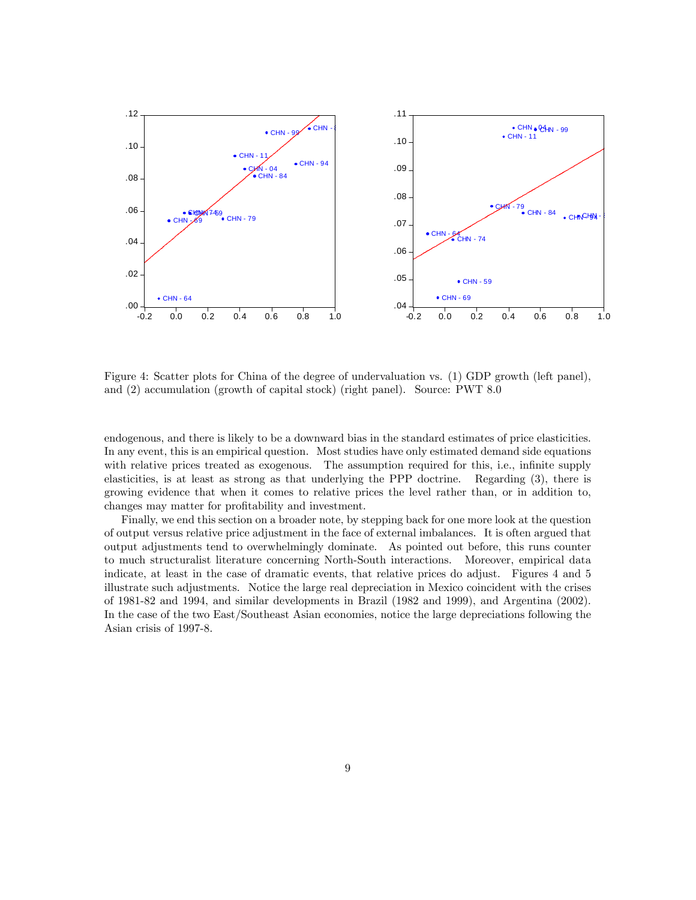

Figure 4: Scatter plots for China of the degree of undervaluation vs. (1) GDP growth (left panel), and (2) accumulation (growth of capital stock) (right panel). Source: PWT 8.0

endogenous, and there is likely to be a downward bias in the standard estimates of price elasticities. In any event, this is an empirical question. Most studies have only estimated demand side equations with relative prices treated as exogenous. The assumption required for this, i.e., infinite supply elasticities, is at least as strong as that underlying the PPP doctrine. Regarding (3), there is growing evidence that when it comes to relative prices the level rather than, or in addition to, changes may matter for profitability and investment.

Finally, we end this section on a broader note, by stepping back for one more look at the question of output versus relative price adjustment in the face of external imbalances. It is often argued that output adjustments tend to overwhelmingly dominate. As pointed out before, this runs counter to much structuralist literature concerning North-South interactions. Moreover, empirical data indicate, at least in the case of dramatic events, that relative prices do adjust. Figures 4 and 5 illustrate such adjustments. Notice the large real depreciation in Mexico coincident with the crises of 1981-82 and 1994, and similar developments in Brazil (1982 and 1999), and Argentina (2002). In the case of the two East/Southeast Asian economies, notice the large depreciations following the Asian crisis of 1997-8.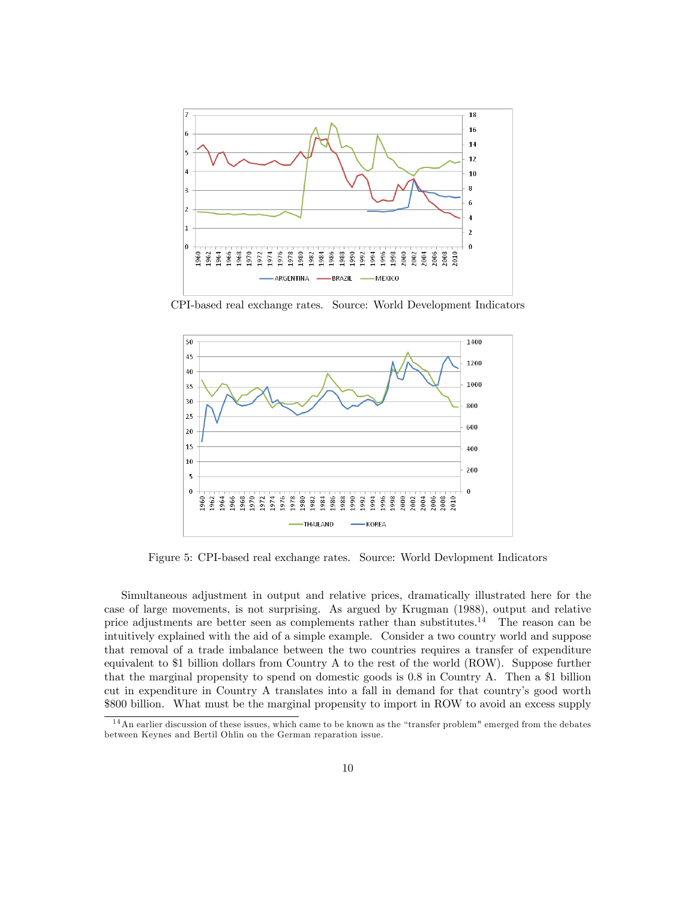

CPI-based real exchange rates. Source: World Development Indicators



Figure 5: CPI-based real exchange rates. Source: World Devlopment Indicators

Simultaneous adjustment in output and relative prices, dramatically illustrated here for the case of large movements, is not surprising. As argued by Krugman (1988), output and relative price adjustments are better seen as complements rather than substitutes.<sup>14</sup> The reason can be intuitively explained with the aid of a simple example. Consider a two country world and suppose that removal of a trade imbalance between the two countries requires a transfer of expenditure equivalent to \$1 billion dollars from Country A to the rest of the world (ROW). Suppose further that the marginal propensity to spend on domestic goods is 0.8 in Country A. Then a \$1 billion cut in expenditure in Country A translates into a fall in demand for that countryís good worth \$800 billion. What must be the marginal propensity to import in ROW to avoid an excess supply

 $14$ An earlier discussion of these issues, which came to be known as the "transfer problem" emerged from the debates between Keynes and Bertil Ohlin on the German reparation issue.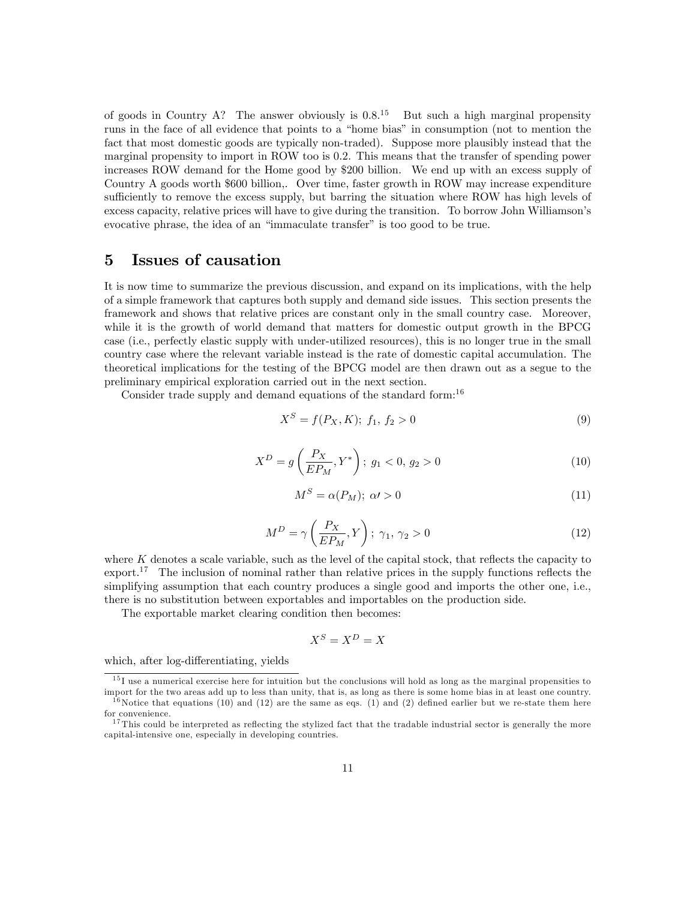of goods in Country A? The answer obviously is  $0.8^{15}$  But such a high marginal propensity runs in the face of all evidence that points to a "home bias" in consumption (not to mention the fact that most domestic goods are typically non-traded). Suppose more plausibly instead that the marginal propensity to import in ROW too is 0.2. This means that the transfer of spending power increases ROW demand for the Home good by \$200 billion. We end up with an excess supply of Country A goods worth \$600 billion,. Over time, faster growth in ROW may increase expenditure sufficiently to remove the excess supply, but barring the situation where ROW has high levels of excess capacity, relative prices will have to give during the transition. To borrow John Williamson's evocative phrase, the idea of an "immaculate transfer" is too good to be true.

#### 5 Issues of causation

It is now time to summarize the previous discussion, and expand on its implications, with the help of a simple framework that captures both supply and demand side issues. This section presents the framework and shows that relative prices are constant only in the small country case. Moreover, while it is the growth of world demand that matters for domestic output growth in the BPCG case (i.e., perfectly elastic supply with under-utilized resources), this is no longer true in the small country case where the relevant variable instead is the rate of domestic capital accumulation. The theoretical implications for the testing of the BPCG model are then drawn out as a segue to the preliminary empirical exploration carried out in the next section.

Consider trade supply and demand equations of the standard form:<sup>16</sup>

$$
X^S = f(P_X, K); f_1, f_2 > 0
$$
\n(9)

$$
X^{D} = g\left(\frac{P_{X}}{EP_{M}}, Y^{*}\right); g_{1} < 0, g_{2} > 0
$$
\n(10)

$$
M^S = \alpha(P_M); \ \alpha \ge 0 \tag{11}
$$

$$
M^D = \gamma \left(\frac{P_X}{E P_M}, Y\right); \ \gamma_1, \ \gamma_2 > 0 \tag{12}
$$

where  $K$  denotes a scale variable, such as the level of the capital stock, that reflects the capacity to export.<sup>17</sup> The inclusion of nominal rather than relative prices in the supply functions reflects the simplifying assumption that each country produces a single good and imports the other one, i.e., there is no substitution between exportables and importables on the production side.

The exportable market clearing condition then becomes:

$$
X^S = X^D = X
$$

which, after log-differentiating, yields

<sup>&</sup>lt;sup>15</sup>I use a numerical exercise here for intuition but the conclusions will hold as long as the marginal propensities to import for the two areas add up to less than unity, that is, as long as there is some home bias in at least one country.

 $16$ Notice that equations (10) and (12) are the same as eqs. (1) and (2) defined earlier but we re-state them here for convenience.

 $17$  This could be interpreted as reflecting the stylized fact that the tradable industrial sector is generally the more capital-intensive one, especially in developing countries.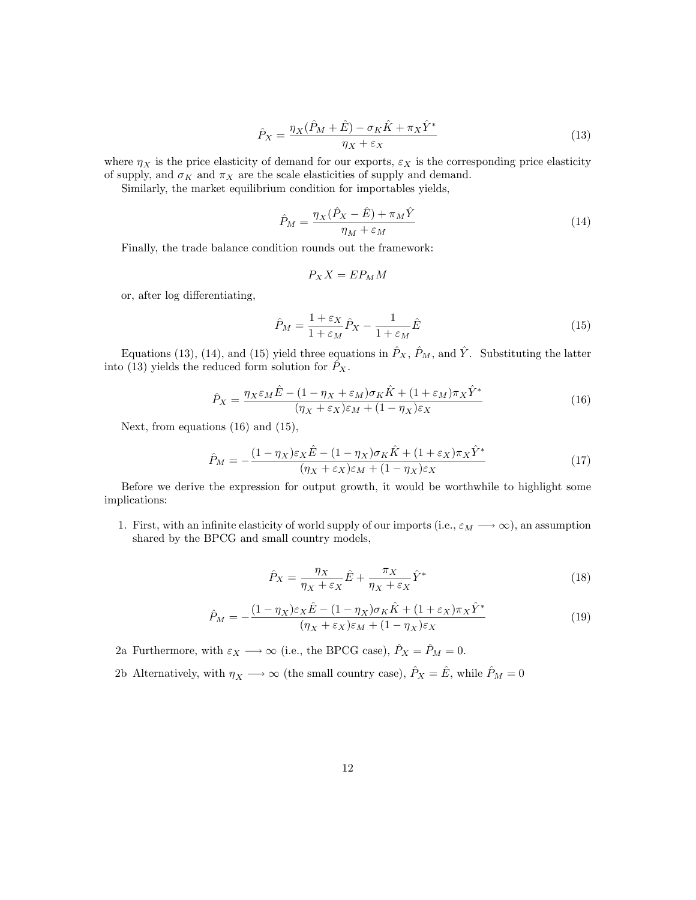$$
\hat{P}_X = \frac{\eta_X(\hat{P}_M + \hat{E}) - \sigma_K \hat{K} + \pi_X \hat{Y}^*}{\eta_X + \varepsilon_X} \tag{13}
$$

where  $\eta_X$  is the price elasticity of demand for our exports,  $\varepsilon_X$  is the corresponding price elasticity of supply, and  $\sigma_K$  and  $\pi_X$  are the scale elasticities of supply and demand.

Similarly, the market equilibrium condition for importables yields,

$$
\hat{P}_M = \frac{\eta_X(\hat{P}_X - \hat{E}) + \pi_M \hat{Y}}{\eta_M + \varepsilon_M} \tag{14}
$$

Finally, the trade balance condition rounds out the framework:

$$
P_XX=EP_MM
$$

or, after log differentiating,

$$
\hat{P}_M = \frac{1 + \varepsilon_X}{1 + \varepsilon_M} \hat{P}_X - \frac{1}{1 + \varepsilon_M} \hat{E}
$$
\n(15)

Equations (13), (14), and (15) yield three equations in  $\hat{P}_X$ ,  $\hat{P}_M$ , and  $\hat{Y}$ . Substituting the latter into (13) yields the reduced form solution for  $P_X$ .

$$
\hat{P}_X = \frac{\eta_X \varepsilon_M \hat{E} - (1 - \eta_X + \varepsilon_M) \sigma_K \hat{K} + (1 + \varepsilon_M) \pi_X \hat{Y}^*}{(\eta_X + \varepsilon_X) \varepsilon_M + (1 - \eta_X) \varepsilon_X} \tag{16}
$$

Next, from equations (16) and (15),

$$
\hat{P}_M = -\frac{(1 - \eta_X)\varepsilon_X \hat{E} - (1 - \eta_X)\sigma_K \hat{K} + (1 + \varepsilon_X)\pi_X \hat{Y}^*}{(\eta_X + \varepsilon_X)\varepsilon_M + (1 - \eta_X)\varepsilon_X} \tag{17}
$$

Before we derive the expression for output growth, it would be worthwhile to highlight some implications:

1. First, with an infinite elasticity of world supply of our imports (i.e.,  $\varepsilon_M \longrightarrow \infty$ ), an assumption shared by the BPCG and small country models,

$$
\hat{P}_X = \frac{\eta_X}{\eta_X + \varepsilon_X} \hat{E} + \frac{\pi_X}{\eta_X + \varepsilon_X} \hat{Y}^*
$$
\n(18)

$$
\hat{P}_M = -\frac{(1 - \eta_X)\varepsilon_X \hat{E} - (1 - \eta_X)\sigma_K \hat{K} + (1 + \varepsilon_X)\pi_X \hat{Y}^*}{(\eta_X + \varepsilon_X)\varepsilon_M + (1 - \eta_X)\varepsilon_X} \tag{19}
$$

2a Furthermore, with  $\varepsilon_X \longrightarrow \infty$  (i.e., the BPCG case),  $\hat{P}_X = \hat{P}_M = 0$ .

2b Alternatively, with  $\eta_X \longrightarrow \infty$  (the small country case),  $\hat{P}_X = \hat{E}$ , while  $\hat{P}_M = 0$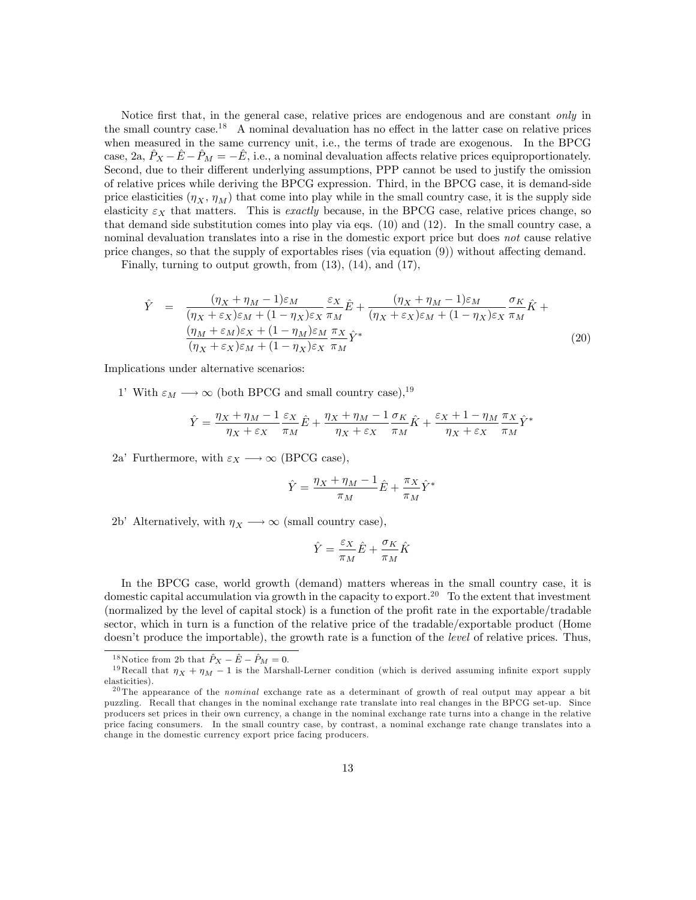Notice first that, in the general case, relative prices are endogenous and are constant only in the small country case.<sup>18</sup> A nominal devaluation has no effect in the latter case on relative prices when measured in the same currency unit, i.e., the terms of trade are exogenous. In the BPCG case, 2a,  $\hat{P}_X - \hat{E} - \hat{P}_M = -\hat{E}$ , i.e., a nominal devaluation affects relative prices equiproportionately. Second, due to their different underlying assumptions, PPP cannot be used to justify the omission of relative prices while deriving the BPCG expression. Third, in the BPCG case, it is demand-side price elasticities  $(\eta_X, \eta_M)$  that come into play while in the small country case, it is the supply side elasticity  $\varepsilon_X$  that matters. This is exactly because, in the BPCG case, relative prices change, so that demand side substitution comes into play via eqs. (10) and (12). In the small country case, a nominal devaluation translates into a rise in the domestic export price but does not cause relative price changes, so that the supply of exportables rises (via equation  $(9)$ ) without affecting demand.

Finally, turning to output growth, from (13), (14), and (17),

$$
\hat{Y} = \frac{(\eta_X + \eta_M - 1)\varepsilon_M}{(\eta_X + \varepsilon_X)\varepsilon_M + (1 - \eta_X)\varepsilon_X} \frac{\varepsilon_X}{\pi_M} \hat{E} + \frac{(\eta_X + \eta_M - 1)\varepsilon_M}{(\eta_X + \varepsilon_X)\varepsilon_M + (1 - \eta_X)\varepsilon_X} \frac{\sigma_K}{\pi_M} \hat{K} + \frac{(\eta_M + \varepsilon_M)\varepsilon_X + (1 - \eta_M)\varepsilon_M}{(\eta_X + \varepsilon_X)\varepsilon_M + (1 - \eta_X)\varepsilon_X} \frac{\pi_X}{\pi_M} \hat{Y}^*
$$
\n(20)

Implications under alternative scenarios:

1' With  $\varepsilon_M \longrightarrow \infty$  (both BPCG and small country case),<sup>19</sup>

$$
\hat{Y} = \frac{\eta_X + \eta_M - 1}{\eta_X + \varepsilon_X} \frac{\varepsilon_X}{\pi_M} \hat{E} + \frac{\eta_X + \eta_M - 1}{\eta_X + \varepsilon_X} \frac{\sigma_K}{\pi_M} \hat{K} + \frac{\varepsilon_X + 1 - \eta_M}{\eta_X + \varepsilon_X} \frac{\pi_X}{\pi_M} \hat{Y}^*
$$

2a' Furthermore, with  $\varepsilon_X \longrightarrow \infty$  (BPCG case),

$$
\hat{Y} = \frac{\eta_X + \eta_M - 1}{\pi_M} \hat{E} + \frac{\pi_X}{\pi_M} \hat{Y}^*
$$

2b<sup>'</sup> Alternatively, with  $\eta_X \longrightarrow \infty$  (small country case),

$$
\hat{Y} = \frac{\varepsilon_X}{\pi_M} \hat{E} + \frac{\sigma_K}{\pi_M} \hat{K}
$$

In the BPCG case, world growth (demand) matters whereas in the small country case, it is domestic capital accumulation via growth in the capacity to export.<sup>20</sup> To the extent that investment (normalized by the level of capital stock) is a function of the profit rate in the exportable/tradable sector, which in turn is a function of the relative price of the tradable/exportable product (Home doesn't produce the importable), the growth rate is a function of the *level* of relative prices. Thus,

<sup>&</sup>lt;sup>18</sup>Notice from 2b that  $\hat{P}_X - \hat{E} - \hat{P}_M = 0$ .

<sup>&</sup>lt;sup>19</sup>Recall that  $\eta_X + \eta_M - 1$  is the Marshall-Lerner condition (which is derived assuming infinite export supply elasticities).

<sup>&</sup>lt;sup>20</sup>The appearance of the *nominal* exchange rate as a determinant of growth of real output may appear a bit puzzling. Recall that changes in the nominal exchange rate translate into real changes in the BPCG set-up. Since producers set prices in their own currency, a change in the nominal exchange rate turns into a change in the relative price facing consumers. In the small country case, by contrast, a nominal exchange rate change translates into a change in the domestic currency export price facing producers.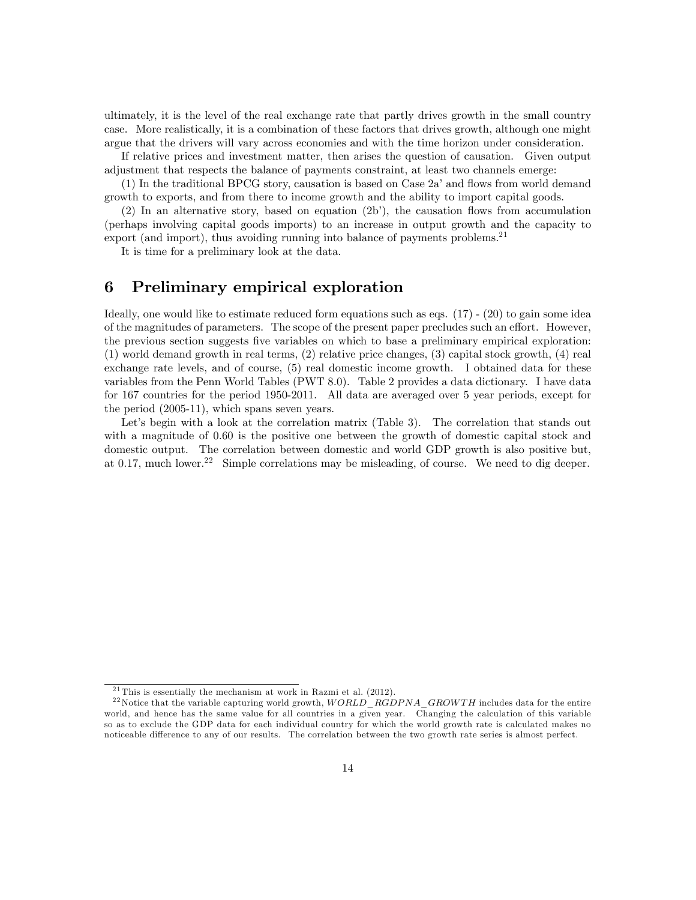ultimately, it is the level of the real exchange rate that partly drives growth in the small country case. More realistically, it is a combination of these factors that drives growth, although one might argue that the drivers will vary across economies and with the time horizon under consideration.

If relative prices and investment matter, then arises the question of causation. Given output adjustment that respects the balance of payments constraint, at least two channels emerge:

 $(1)$  In the traditional BPCG story, causation is based on Case 2a' and flows from world demand growth to exports, and from there to income growth and the ability to import capital goods.

 $(2)$  In an alternative story, based on equation  $(2b^{\prime})$ , the causation flows from accumulation (perhaps involving capital goods imports) to an increase in output growth and the capacity to export (and import), thus avoiding running into balance of payments problems. $21$ 

It is time for a preliminary look at the data.

#### 6 Preliminary empirical exploration

Ideally, one would like to estimate reduced form equations such as eqs. (17) - (20) to gain some idea of the magnitudes of parameters. The scope of the present paper precludes such an effort. However, the previous section suggests Öve variables on which to base a preliminary empirical exploration: (1) world demand growth in real terms, (2) relative price changes, (3) capital stock growth, (4) real exchange rate levels, and of course, (5) real domestic income growth. I obtained data for these variables from the Penn World Tables (PWT 8.0). Table 2 provides a data dictionary. I have data for 167 countries for the period 1950-2011. All data are averaged over 5 year periods, except for the period (2005-11), which spans seven years.

Let's begin with a look at the correlation matrix (Table 3). The correlation that stands out with a magnitude of 0.60 is the positive one between the growth of domestic capital stock and domestic output. The correlation between domestic and world GDP growth is also positive but, at 0.17, much lower.<sup>22</sup> Simple correlations may be misleading, of course. We need to dig deeper.

 $21$  This is essentially the mechanism at work in Razmi et al. (2012).

<sup>&</sup>lt;sup>22</sup> Notice that the variable capturing world growth, WORLD\_RGDPNA\_GROWTH includes data for the entire world, and hence has the same value for all countries in a given year. Changing the calculation of this variable so as to exclude the GDP data for each individual country for which the world growth rate is calculated makes no noticeable difference to any of our results. The correlation between the two growth rate series is almost perfect.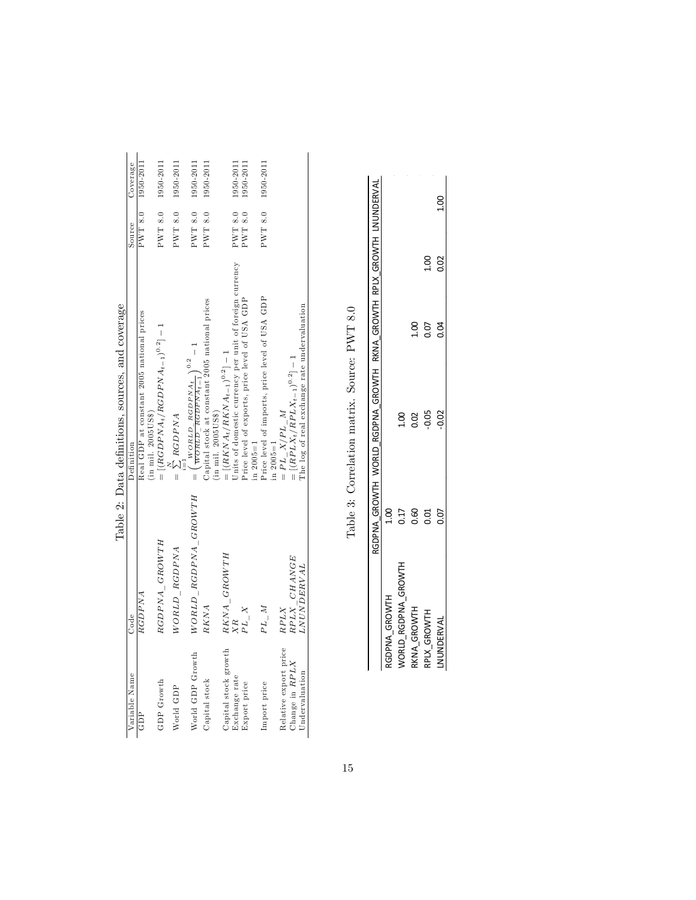|                                                  | Coverage      | 1950-2011                                 | PWT 8.0 1950-2011                                          | PWT 8.0 1950-2011        | PWT 8.0 1950-2011                                                                                       | 1950-2011                                      |                                       |                                  | 1950-2011                                               | 1950-2011                                                               | PWT 8.0 1950-2011                                               |                       |                                  |                                              |
|--------------------------------------------------|---------------|-------------------------------------------|------------------------------------------------------------|--------------------------|---------------------------------------------------------------------------------------------------------|------------------------------------------------|---------------------------------------|----------------------------------|---------------------------------------------------------|-------------------------------------------------------------------------|-----------------------------------------------------------------|-----------------------|----------------------------------|----------------------------------------------|
|                                                  | Source        | PWT8.0                                    |                                                            |                          |                                                                                                         | PWT8.0                                         |                                       |                                  | $\rm PWT$ 8.0                                           | ${\rm PWT}$ 8.0                                                         |                                                                 |                       |                                  |                                              |
| Table 2: Data definitions, sources, and coverage | Definition    | Real GDP at constant 2005 national prices | $=[(RGDPNA_t/RGBPNA_{t-1})^{0.2}]-1$<br>(in mil. 2005US\$) | $= \sum_{i=1} \, RGDPNA$ | $WORLD$ RGDPNA <sub>t</sub> $\Big)^{0.2}$ -1<br>$\sqrt{WORLD\_RGBPNA_{t-1}}$<br>$\overline{\mathbf{I}}$ | Capital stock at constant 2005 national prices | $(in \text{ mil. } 2005 \text{US}\$)$ | $=[(RKNA_t/RKNA_{t-1})^{0.2}]-1$ | Units of domestic currency per unit of foreign currency | Price level of exports, price level of USA GDP<br>$\text{in } 2005 = 1$ | Price level of imports, price level of USA GDP<br>in $2005 = 1$ | $= PL_X/PL_M$         | $=[(RPLX_t/RPLX_{t-1})^{0.2}]-1$ | The log of real exchange rate undervaluation |
|                                                  | Code          | RGBPNA                                    | RGDPNA_GROWTH                                              | WORLD RGDPNA             | WORLD RGDPNA GROWTH                                                                                     | RKNA                                           |                                       | $RKNA$ $GROWTH$                  | XR                                                      | $PL\_X$                                                                 | PL M                                                            | RPLX                  | RPLX CHANGE                      | <b>LNUNDERVAL</b>                            |
|                                                  | Variable Name | GDP                                       | GDP Growth                                                 | World GDP                | World GDP Growth                                                                                        | Capital stock                                  |                                       | Capital stock growth             | Exchange rate                                           | Export price                                                            | Import price                                                    | Relative export price | Change in RPLX                   | Undervaluation                               |

Table 3: Correlation matrix. Source: PWT  $8.0\,$ Table 3: Correlation matrix. Source: PWT 8.0

|                     |               | RGDPNA_GROWTH WORLD_RGDPNA_GROWTH RKNA_GROWTH RPLX_GROWTH LNUNDERVAL |        |      |      |
|---------------------|---------------|----------------------------------------------------------------------|--------|------|------|
| RGDPNA GROWTH       | $\frac{8}{1}$ |                                                                      |        |      |      |
| WORLD RGDPNA GROWTH | 0.17          |                                                                      |        |      |      |
| RKNA GROWTH         | 8.<br>0.9     | 0.02                                                                 | ខ<br>÷ |      |      |
| RPLX GROWTH         |               | $-0.05$                                                              | 0.07   | 1.00 |      |
| NUNDERVAI           | 0.07          | $-0.02$                                                              | йí     | 0.02 | 1.00 |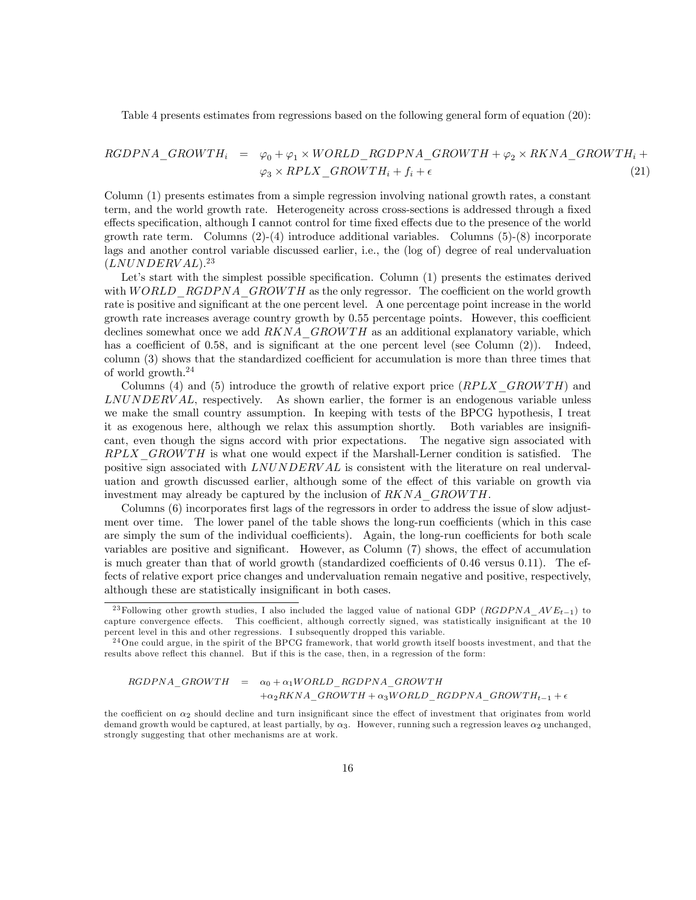Table 4 presents estimates from regressions based on the following general form of equation (20):

#### $RGDPNA\_GROW TH_i = \varphi_0 + \varphi_1 \times WORDLA\_GROW TH + \varphi_2 \times RKNA\_GROWTH_i +$  $\varphi_3 \times RPLX \_GROWTH_i + f_i + \epsilon$  (21)

Column (1) presents estimates from a simple regression involving national growth rates, a constant term, and the world growth rate. Heterogeneity across cross-sections is addressed through a fixed effects specification, although I cannot control for time fixed effects due to the presence of the world growth rate term. Columns  $(2)-(4)$  introduce additional variables. Columns  $(5)-(8)$  incorporate lags and another control variable discussed earlier, i.e., the (log of) degree of real undervaluation  $(LNUNDERVAL)$ <sup>23</sup>

Let's start with the simplest possible specification. Column (1) presents the estimates derived with WORLD RGDPNA GROWTH as the only regressor. The coefficient on the world growth rate is positive and significant at the one percent level. A one percentage point increase in the world growth rate increases average country growth by 0.55 percentage points. However, this coefficient declines somewhat once we add  $RKNA$  GROW TH as an additional explanatory variable, which has a coefficient of 0.58, and is significant at the one percent level (see Column  $(2)$ ). Indeed, column  $(3)$  shows that the standardized coefficient for accumulation is more than three times that of world growth.<sup>24</sup>

Columns (4) and (5) introduce the growth of relative export price  $(RPLX \quad GROW TH)$  and LNUNDERV AL, respectively. As shown earlier, the former is an endogenous variable unless we make the small country assumption. In keeping with tests of the BPCG hypothesis, I treat it as exogenous here, although we relax this assumption shortly. Both variables are insignificant, even though the signs accord with prior expectations. The negative sign associated with  $RPLX$  GROW TH is what one would expect if the Marshall-Lerner condition is satisfied. The positive sign associated with LNUNDERV AL is consistent with the literature on real undervaluation and growth discussed earlier, although some of the effect of this variable on growth via investment may already be captured by the inclusion of  $RKNA$   $GROWTH$ .

Columns (6) incorporates first lags of the regressors in order to address the issue of slow adjustment over time. The lower panel of the table shows the long-run coefficients (which in this case are simply the sum of the individual coefficients). Again, the long-run coefficients for both scale variables are positive and significant. However, as Column  $(7)$  shows, the effect of accumulation is much greater than that of world growth (standardized coefficients of  $0.46$  versus  $0.11$ ). The effects of relative export price changes and undervaluation remain negative and positive, respectively, although these are statistically insignificant in both cases.

<sup>&</sup>lt;sup>23</sup>Following other growth studies, I also included the lagged value of national GDP ( $RGDPNA\_{AVEt-1}$ ) to capture convergence effects. This coefficient, although correctly signed, was statistically insignificant at the 10 percent level in this and other regressions. I subsequently dropped this variable.

 $^{24}$ One could argue, in the spirit of the BPCG framework, that world growth itself boosts investment, and that the results above reflect this channel. But if this is the case, then, in a regression of the form:

 $\begin{array}{rcl} {\cal R}GDPNA\_GROW TH & = & \alpha_0 + \alpha_1 WORLD\_RGDPNA\_GROW TH \end{array}$  $+ \alpha_2 RKNA \quad GROW TH + \alpha_3 WORDRLD \quad RGDPNA \quad GROW TH_{t-1} + \epsilon$ 

the coefficient on  $\alpha_2$  should decline and turn insignificant since the effect of investment that originates from world demand growth would be captured, at least partially, by  $\alpha_3$ . However, running such a regression leaves  $\alpha_2$  unchanged, strongly suggesting that other mechanisms are at work.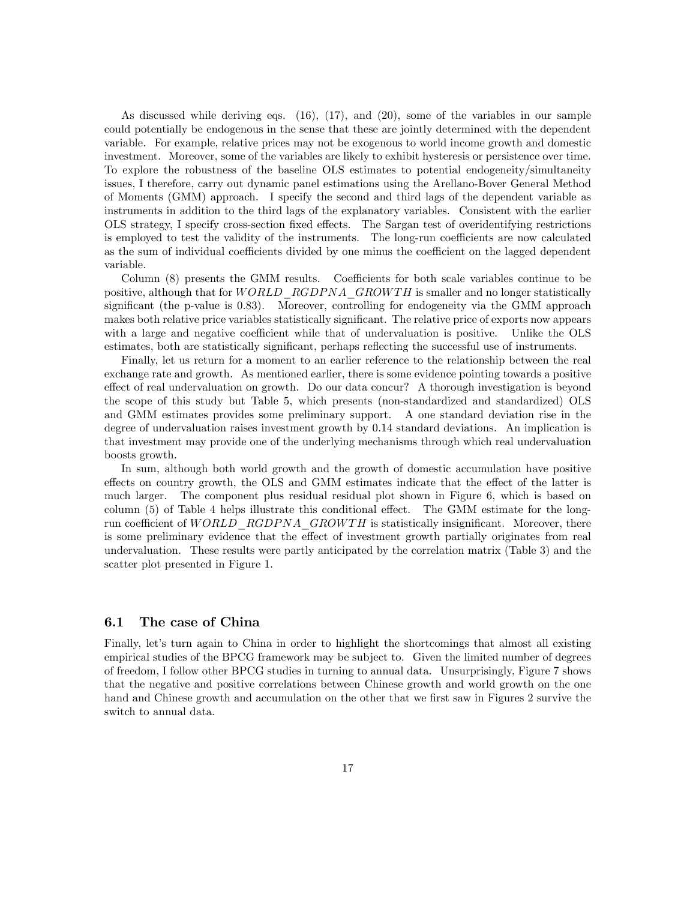As discussed while deriving eqs. (16), (17), and (20), some of the variables in our sample could potentially be endogenous in the sense that these are jointly determined with the dependent variable. For example, relative prices may not be exogenous to world income growth and domestic investment. Moreover, some of the variables are likely to exhibit hysteresis or persistence over time. To explore the robustness of the baseline OLS estimates to potential endogeneity/simultaneity issues, I therefore, carry out dynamic panel estimations using the Arellano-Bover General Method of Moments (GMM) approach. I specify the second and third lags of the dependent variable as instruments in addition to the third lags of the explanatory variables. Consistent with the earlier OLS strategy, I specify cross-section fixed effects. The Sargan test of overidentifying restrictions is employed to test the validity of the instruments. The long-run coefficients are now calculated as the sum of individual coefficients divided by one minus the coefficient on the lagged dependent variable.

Column  $(8)$  presents the GMM results. Coefficients for both scale variables continue to be positive, although that for WORLD\_RGDPNA\_GROWTH is smaller and no longer statistically significant (the p-value is  $(0.83)$ . Moreover, controlling for endogeneity via the GMM approach makes both relative price variables statistically significant. The relative price of exports now appears with a large and negative coefficient while that of undervaluation is positive. Unlike the OLS estimates, both are statistically significant, perhaps reflecting the successful use of instruments.

Finally, let us return for a moment to an earlier reference to the relationship between the real exchange rate and growth. As mentioned earlier, there is some evidence pointing towards a positive effect of real undervaluation on growth. Do our data concur? A thorough investigation is beyond the scope of this study but Table 5, which presents (non-standardized and standardized) OLS and GMM estimates provides some preliminary support. A one standard deviation rise in the degree of undervaluation raises investment growth by 0.14 standard deviations. An implication is that investment may provide one of the underlying mechanisms through which real undervaluation boosts growth.

In sum, although both world growth and the growth of domestic accumulation have positive effects on country growth, the OLS and GMM estimates indicate that the effect of the latter is much larger. The component plus residual residual plot shown in Figure 6, which is based on column  $(5)$  of Table 4 helps illustrate this conditional effect. The GMM estimate for the longrun coefficient of WORLD  $RGDPNA$   $GROWTH$  is statistically insignificant. Moreover, there is some preliminary evidence that the effect of investment growth partially originates from real undervaluation. These results were partly anticipated by the correlation matrix (Table 3) and the scatter plot presented in Figure 1.

#### 6.1 The case of China

Finally, let's turn again to China in order to highlight the shortcomings that almost all existing empirical studies of the BPCG framework may be subject to. Given the limited number of degrees of freedom, I follow other BPCG studies in turning to annual data. Unsurprisingly, Figure 7 shows that the negative and positive correlations between Chinese growth and world growth on the one hand and Chinese growth and accumulation on the other that we first saw in Figures 2 survive the switch to annual data.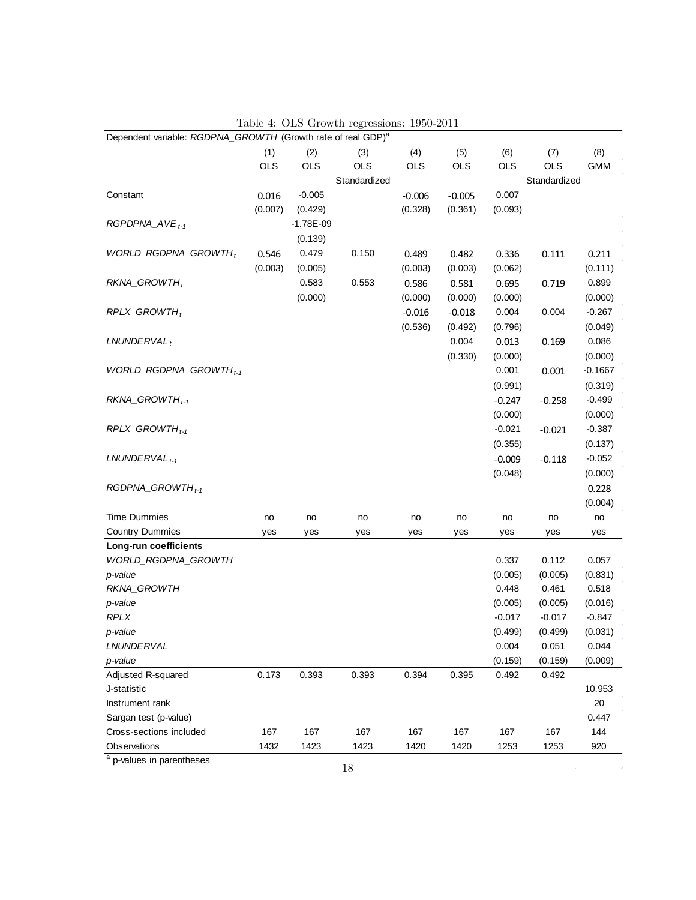|                                                                          |            |               | Table 4: OLS Growth regressions: 1950-2011 |            |            |            |              |            |
|--------------------------------------------------------------------------|------------|---------------|--------------------------------------------|------------|------------|------------|--------------|------------|
| Dependent variable: RGDPNA_GROWTH (Growth rate of real GDP) <sup>a</sup> |            |               |                                            |            |            |            |              |            |
|                                                                          | (1)        | (2)           | (3)                                        | (4)        | (5)        | (6)        | (7)          | (8)        |
|                                                                          | <b>OLS</b> | <b>OLS</b>    | <b>OLS</b>                                 | <b>OLS</b> | <b>OLS</b> | <b>OLS</b> | <b>OLS</b>   | <b>GMM</b> |
|                                                                          |            |               | Standardized                               |            |            |            | Standardized |            |
| Constant                                                                 | 0.016      | $-0.005$      |                                            | $-0.006$   | $-0.005$   | 0.007      |              |            |
|                                                                          | (0.007)    | (0.429)       |                                            | (0.328)    | (0.361)    | (0.093)    |              |            |
| $RGPDPNA$ $AVE_{t-1}$                                                    |            | $-1.78E - 09$ |                                            |            |            |            |              |            |
|                                                                          |            | (0.139)       |                                            |            |            |            |              |            |
| $WORLD\_RGDPNA\_GROWTH_t$                                                | 0.546      | 0.479         | 0.150                                      | 0.489      | 0.482      | 0.336      | 0.111        | 0.211      |
|                                                                          | (0.003)    | (0.005)       |                                            | (0.003)    | (0.003)    | (0.062)    |              | (0.111)    |
| $RKNA_GROWTH_t$                                                          |            | 0.583         | 0.553                                      | 0.586      | 0.581      | 0.695      | 0.719        | 0.899      |
|                                                                          |            | (0.000)       |                                            | (0.000)    | (0.000)    | (0.000)    |              | (0.000)    |
| $RPLX_GROWTH_t$                                                          |            |               |                                            | $-0.016$   | $-0.018$   | 0.004      | 0.004        | $-0.267$   |
|                                                                          |            |               |                                            | (0.536)    | (0.492)    | (0.796)    |              | (0.049)    |
| LNUNDERVAL,                                                              |            |               |                                            |            | 0.004      | 0.013      | 0.169        | 0.086      |
|                                                                          |            |               |                                            |            | (0.330)    | (0.000)    |              | (0.000)    |
| WORLD_RGDPNA_GROWTH <sub>t-1</sub>                                       |            |               |                                            |            |            | 0.001      | 0.001        | $-0.1667$  |
|                                                                          |            |               |                                            |            |            | (0.991)    |              | (0.319)    |
| RKNA_GROWTH <sub>t-1</sub>                                               |            |               |                                            |            |            | $-0.247$   | $-0.258$     | $-0.499$   |
|                                                                          |            |               |                                            |            |            | (0.000)    |              | (0.000)    |
| $RPLX_GROWTH_{t-1}$                                                      |            |               |                                            |            |            | $-0.021$   | $-0.021$     | $-0.387$   |
|                                                                          |            |               |                                            |            |            | (0.355)    |              | (0.137)    |
| $LNUNDERVAL$ <sub>t-1</sub>                                              |            |               |                                            |            |            | $-0.009$   | $-0.118$     | $-0.052$   |
|                                                                          |            |               |                                            |            |            | (0.048)    |              | (0.000)    |
| $RGDPNA_GROWTH_{t-1}$                                                    |            |               |                                            |            |            |            |              | 0.228      |
|                                                                          |            |               |                                            |            |            |            |              | (0.004)    |
| <b>Time Dummies</b>                                                      | no         | no            | no                                         | no         | no         | no         | no           | no         |
| <b>Country Dummies</b>                                                   | yes        | yes           | yes                                        | yes        | yes        | yes        | yes          | yes        |
| Long-run coefficients                                                    |            |               |                                            |            |            |            |              |            |
| WORLD_RGDPNA_GROWTH                                                      |            |               |                                            |            |            | 0.337      | 0.112        | 0.057      |
| p-value                                                                  |            |               |                                            |            |            | (0.005)    | (0.005)      | (0.831)    |
| RKNA_GROWTH                                                              |            |               |                                            |            |            | 0.448      | 0.461        | 0.518      |
| p-value                                                                  |            |               |                                            |            |            | (0.005)    | (0.005)      | (0.016)    |
| <b>RPLX</b>                                                              |            |               |                                            |            |            | $-0.017$   | $-0.017$     | $-0.847$   |
| p-value                                                                  |            |               |                                            |            |            | (0.499)    | (0.499)      | (0.031)    |
| LNUNDERVAL                                                               |            |               |                                            |            |            | 0.004      | 0.051        | 0.044      |
| p-value                                                                  |            |               |                                            |            |            | (0.159)    | (0.159)      | (0.009)    |
| Adjusted R-squared                                                       | 0.173      | 0.393         | 0.393                                      | 0.394      | 0.395      | 0.492      | 0.492        |            |
| J-statistic                                                              |            |               |                                            |            |            |            |              | 10.953     |
| Instrument rank                                                          |            |               |                                            |            |            |            |              | 20         |
| Sargan test (p-value)                                                    |            |               |                                            |            |            |            |              | 0.447      |
| Cross-sections included                                                  | 167        | 167           | 167                                        | 167        | 167        | 167        | 167          | 144        |
| Observations                                                             | 1432       | 1423          | 1423                                       | 1420       | 1420       | 1253       | 1253         | 920        |

<sup>a</sup> p-values in parentheses

 $\mathcal{A}$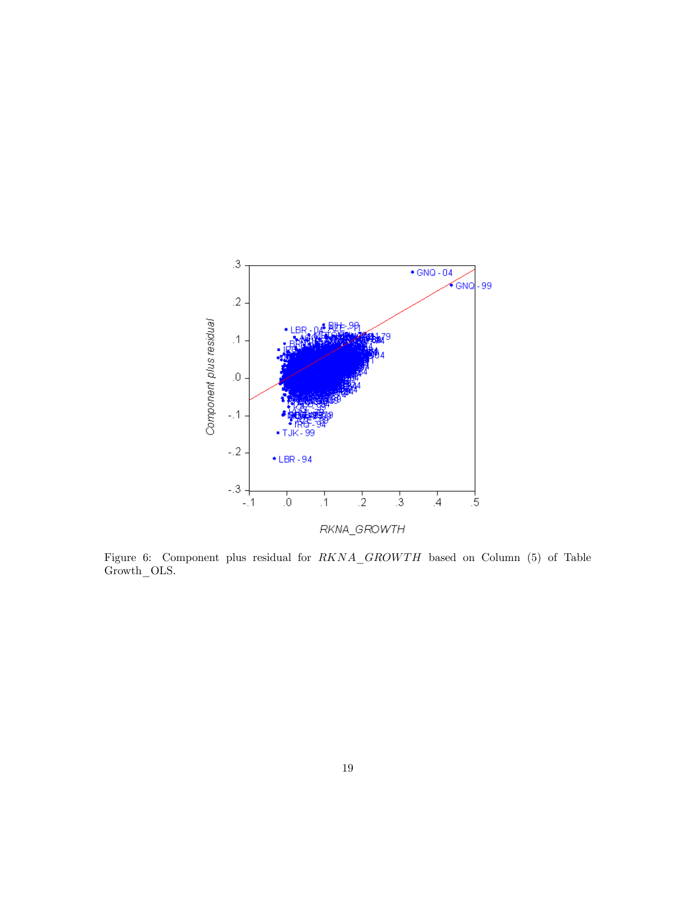

Figure 6: Component plus residual for  $RKNA\_GROW TH$  based on Column (5) of Table Growth\_OLS.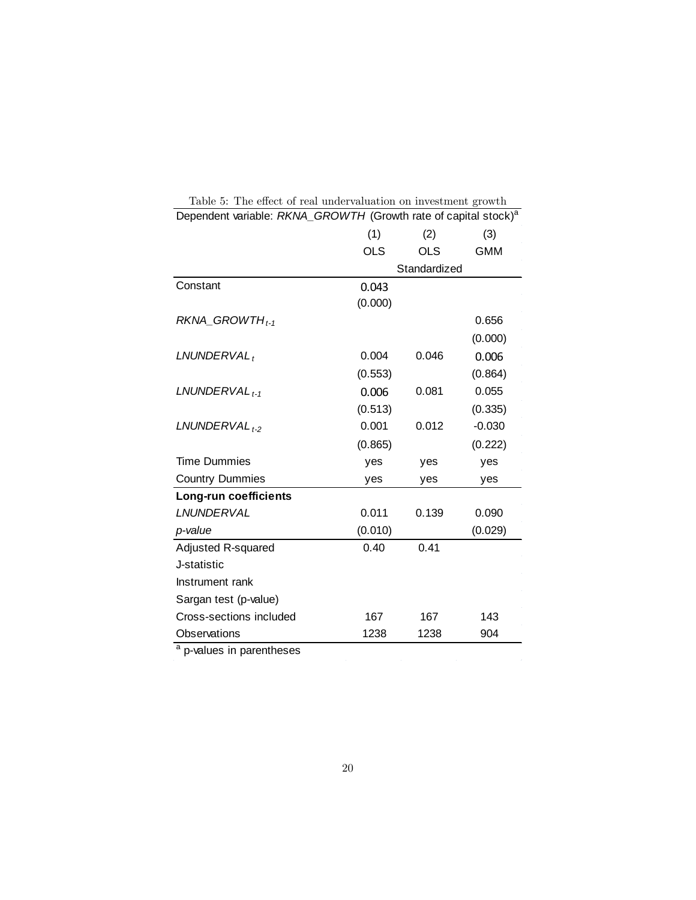| Dependent variable: RKNA_GROWTH (Growth rate of capital stock) <sup>a</sup> |            |              |            |
|-----------------------------------------------------------------------------|------------|--------------|------------|
|                                                                             | (1)        | (2)          | (3)        |
|                                                                             | <b>OLS</b> | <b>OLS</b>   | <b>GMM</b> |
|                                                                             |            | Standardized |            |
| Constant                                                                    | 0.043      |              |            |
|                                                                             | (0.000)    |              |            |
| $RKNA_GROWTH_{t-1}$                                                         |            |              | 0.656      |
|                                                                             |            |              | (0.000)    |
| LNUNDERVAL                                                                  | 0.004      | 0.046        | 0.006      |
|                                                                             | (0.553)    |              | (0.864)    |
| $LNUMDERVAL_{t-1}$                                                          | 0.006      | 0.081        | 0.055      |
|                                                                             | (0.513)    |              | (0.335)    |
| LNUNDERVAL <sub>t-2</sub>                                                   | 0.001      | 0.012        | $-0.030$   |
|                                                                             | (0.865)    |              | (0.222)    |
| <b>Time Dummies</b>                                                         | yes        | yes          | yes        |
| <b>Country Dummies</b>                                                      | yes        | yes          | yes        |
| <b>Long-run coefficients</b>                                                |            |              |            |
| LNUNDERVAL                                                                  | 0.011      | 0.139        | 0.090      |
| p-value                                                                     | (0.010)    |              | (0.029)    |
| Adjusted R-squared                                                          | 0.40       | 0.41         |            |
| J-statistic                                                                 |            |              |            |
| Instrument rank                                                             |            |              |            |
| Sargan test (p-value)                                                       |            |              |            |
| Cross-sections included                                                     | 167        | 167          | 143        |
| Observations                                                                | 1238       | 1238         | 904        |
| <sup>a</sup> p-values in parentheses                                        |            |              |            |
|                                                                             |            |              |            |

Table 5: The effect of real undervaluation on investment growth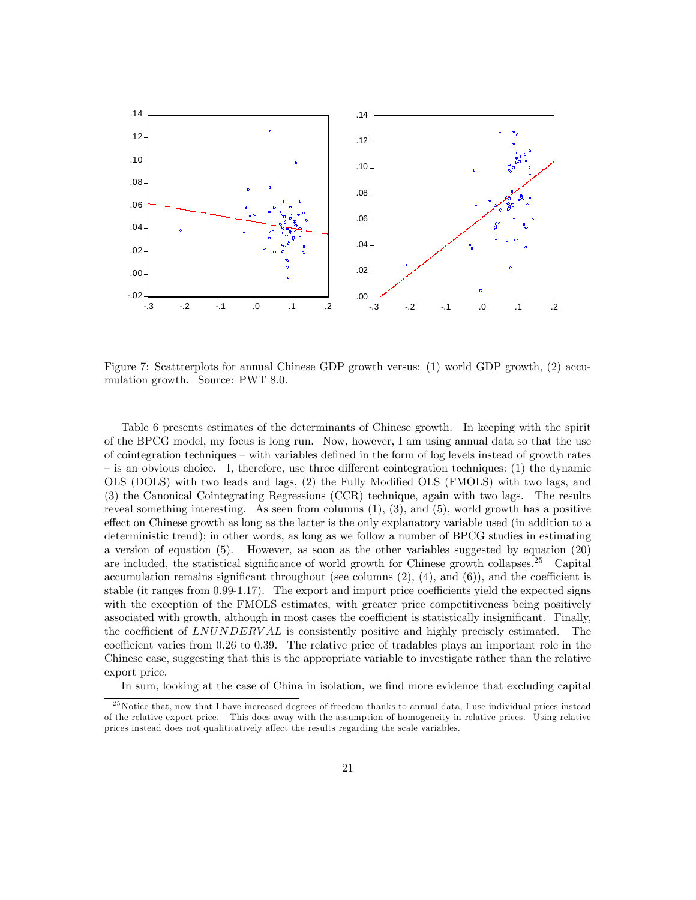

Figure 7: Scattterplots for annual Chinese GDP growth versus: (1) world GDP growth, (2) accumulation growth. Source: PWT 8.0.

Table 6 presents estimates of the determinants of Chinese growth. In keeping with the spirit of the BPCG model, my focus is long run. Now, however, I am using annual data so that the use of cointegration techniques – with variables defined in the form of log levels instead of growth rates  $\overline{\phantom{a}}$  is an obvious choice. I, therefore, use three different cointegration techniques: (1) the dynamic OLS (DOLS) with two leads and lags, (2) the Fully Modified OLS (FMOLS) with two lags, and (3) the Canonical Cointegrating Regressions (CCR) technique, again with two lags. The results reveal something interesting. As seen from columns (1), (3), and (5), world growth has a positive effect on Chinese growth as long as the latter is the only explanatory variable used (in addition to a deterministic trend); in other words, as long as we follow a number of BPCG studies in estimating a version of equation (5). However, as soon as the other variables suggested by equation (20) are included, the statistical significance of world growth for Chinese growth collapses.<sup>25</sup> Capital accumulation remains significant throughout (see columns  $(2)$ ,  $(4)$ , and  $(6)$ ), and the coefficient is stable (it ranges from  $0.99-1.17$ ). The export and import price coefficients yield the expected signs with the exception of the FMOLS estimates, with greater price competitiveness being positively associated with growth, although in most cases the coefficient is statistically insignificant. Finally, the coefficient of LNUNDERVAL is consistently positive and highly precisely estimated. The coefficient varies from  $0.26$  to  $0.39$ . The relative price of tradables plays an important role in the Chinese case, suggesting that this is the appropriate variable to investigate rather than the relative export price.

In sum, looking at the case of China in isolation, we find more evidence that excluding capital

<sup>&</sup>lt;sup>25</sup>Notice that, now that I have increased degrees of freedom thanks to annual data, I use individual prices instead of the relative export price. This does away with the assumption of homogeneity in relative prices. Using relative prices instead does not qualititatively affect the results regarding the scale variables.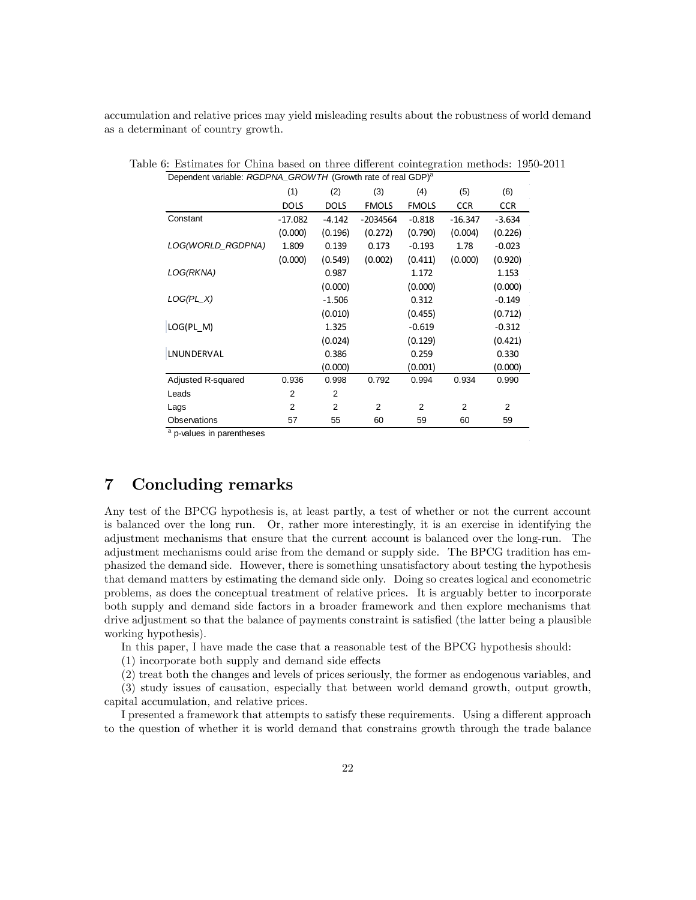accumulation and relative prices may yield misleading results about the robustness of world demand as a determinant of country growth.

| Dependent variable: RGDPNA_GROWTH (Growth rate of real GDP) <sup>a</sup> |                |                |                |                |                |                |  |  |  |
|--------------------------------------------------------------------------|----------------|----------------|----------------|----------------|----------------|----------------|--|--|--|
|                                                                          | (1)            | (2)            | (3)            | (4)            | (5)            | (6)            |  |  |  |
|                                                                          | <b>DOLS</b>    | <b>DOLS</b>    | <b>FMOLS</b>   | <b>FMOLS</b>   | <b>CCR</b>     | <b>CCR</b>     |  |  |  |
| Constant                                                                 | $-17.082$      | $-4.142$       | $-2034564$     | $-0.818$       | $-16.347$      | $-3.634$       |  |  |  |
|                                                                          | (0.000)        | (0.196)        | (0.272)        | (0.790)        | (0.004)        | (0.226)        |  |  |  |
| LOG(WORLD_RGDPNA)                                                        | 1.809          | 0.139          | 0.173          | $-0.193$       | 1.78           | $-0.023$       |  |  |  |
|                                                                          | (0.000)        | (0.549)        | (0.002)        | (0.411)        | (0.000)        | (0.920)        |  |  |  |
| LOG(RKNA)                                                                |                | 0.987          |                | 1.172          |                | 1.153          |  |  |  |
|                                                                          |                | (0.000)        |                | (0.000)        |                | (0.000)        |  |  |  |
| $LOG(PL_X)$                                                              |                | $-1.506$       |                | 0.312          |                | $-0.149$       |  |  |  |
|                                                                          |                | (0.010)        |                | (0.455)        |                | (0.712)        |  |  |  |
| LOG(PL M)                                                                |                | 1.325          |                | $-0.619$       |                | $-0.312$       |  |  |  |
|                                                                          |                | (0.024)        |                | (0.129)        |                | (0.421)        |  |  |  |
| LNUNDERVAL                                                               |                | 0.386          |                | 0.259          |                | 0.330          |  |  |  |
|                                                                          |                | (0.000)        |                | (0.001)        |                | (0.000)        |  |  |  |
| Adjusted R-squared                                                       | 0.936          | 0.998          | 0.792          | 0.994          | 0.934          | 0.990          |  |  |  |
| Leads                                                                    | $\overline{2}$ | $\overline{2}$ |                |                |                |                |  |  |  |
| Lags                                                                     | $\overline{2}$ | $\mathfrak{p}$ | $\mathfrak{p}$ | $\mathfrak{p}$ | $\mathfrak{p}$ | $\mathfrak{p}$ |  |  |  |
| Observations                                                             | 57             | 55             | 60             | 59             | 60             | 59             |  |  |  |

Table 6: Estimates for China based on three different cointegration methods: 1950-2011

<sup>a</sup> p-values in parentheses

#### 7 Concluding remarks

Any test of the BPCG hypothesis is, at least partly, a test of whether or not the current account is balanced over the long run. Or, rather more interestingly, it is an exercise in identifying the adjustment mechanisms that ensure that the current account is balanced over the long-run. The adjustment mechanisms could arise from the demand or supply side. The BPCG tradition has emphasized the demand side. However, there is something unsatisfactory about testing the hypothesis that demand matters by estimating the demand side only. Doing so creates logical and econometric problems, as does the conceptual treatment of relative prices. It is arguably better to incorporate both supply and demand side factors in a broader framework and then explore mechanisms that drive adjustment so that the balance of payments constraint is satisfied (the latter being a plausible working hypothesis).

In this paper, I have made the case that a reasonable test of the BPCG hypothesis should:

 $(1)$  incorporate both supply and demand side effects

(2) treat both the changes and levels of prices seriously, the former as endogenous variables, and

(3) study issues of causation, especially that between world demand growth, output growth, capital accumulation, and relative prices.

I presented a framework that attempts to satisfy these requirements. Using a different approach to the question of whether it is world demand that constrains growth through the trade balance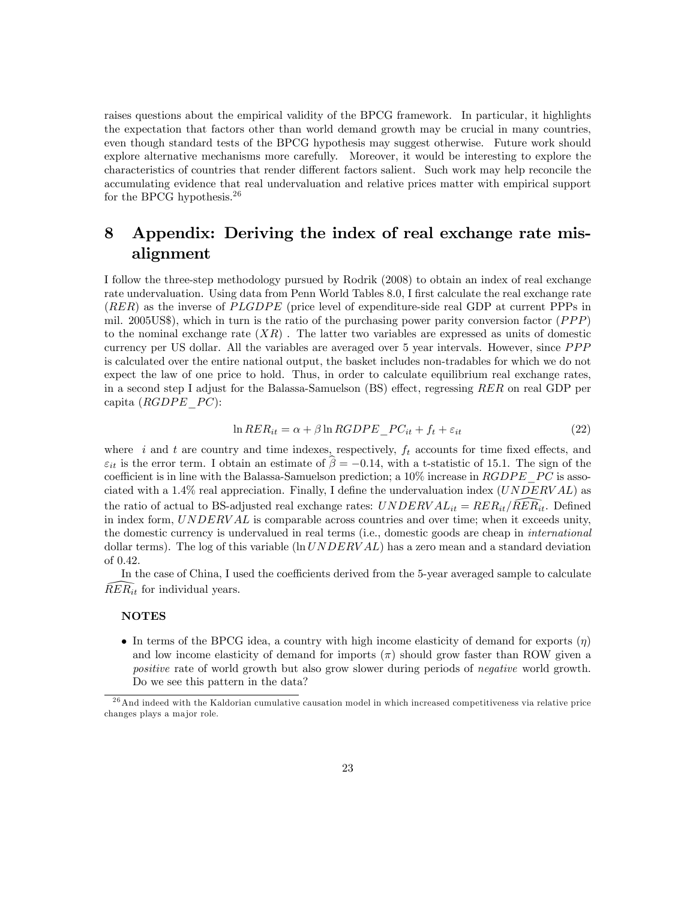raises questions about the empirical validity of the BPCG framework. In particular, it highlights the expectation that factors other than world demand growth may be crucial in many countries, even though standard tests of the BPCG hypothesis may suggest otherwise. Future work should explore alternative mechanisms more carefully. Moreover, it would be interesting to explore the characteristics of countries that render different factors salient. Such work may help reconcile the accumulating evidence that real undervaluation and relative prices matter with empirical support for the BPCG hypothesis.<sup>26</sup>

#### 8 Appendix: Deriving the index of real exchange rate misalignment

I follow the three-step methodology pursued by Rodrik (2008) to obtain an index of real exchange rate undervaluation. Using data from Penn World Tables 8.0, I first calculate the real exchange rate  $(RER)$  as the inverse of  $PLGDPE$  (price level of expenditure-side real GDP at current PPPs in mil. 2005US\$), which in turn is the ratio of the purchasing power parity conversion factor  $(PPP)$ to the nominal exchange rate  $(XR)$ . The latter two variables are expressed as units of domestic currency per US dollar. All the variables are averaged over  $5$  year intervals. However, since  $PPP$ is calculated over the entire national output, the basket includes non-tradables for which we do not expect the law of one price to hold. Thus, in order to calculate equilibrium real exchange rates, in a second step I adjust for the Balassa-Samuelson  $(BS)$  effect, regressing RER on real GDP per capita  $(RGDPE\ PC)$ :

$$
\ln RER_{it} = \alpha + \beta \ln RGDPE_PC_{it} + f_t + \varepsilon_{it} \tag{22}
$$

where i and t are country and time indexes, respectively,  $f_t$  accounts for time fixed effects, and  $\varepsilon_{it}$  is the error term. I obtain an estimate of  $\hat{\beta} = -0.14$ , with a t-statistic of 15.1. The sign of the coefficient is in line with the Balassa-Samuelson prediction; a  $10\%$  increase in  $RGDPE$  PC is associated with a 1.4% real appreciation. Finally, I define the undervaluation index  $(UNDERVAL)$  as the ratio of actual to BS-adjusted real exchange rates:  $UNDERVAL_{it} = RER_{it}/\overline{RER_{it}}$ . Defined in index form, UNDERV AL is comparable across countries and over time; when it exceeds unity, the domestic currency is undervalued in real terms (i.e., domestic goods are cheap in international dollar terms). The log of this variable  $(\ln UNDERVAL)$  has a zero mean and a standard deviation of 0.42.

In the case of China, I used the coefficients derived from the 5-year averaged sample to calculate  $RER_{it}$  for individual years.

#### NOTES

In terms of the BPCG idea, a country with high income elasticity of demand for exports  $(\eta)$ and low income elasticity of demand for imports  $(\pi)$  should grow faster than ROW given a positive rate of world growth but also grow slower during periods of negative world growth. Do we see this pattern in the data?

 $26$ And indeed with the Kaldorian cumulative causation model in which increased competitiveness via relative price changes plays a major role.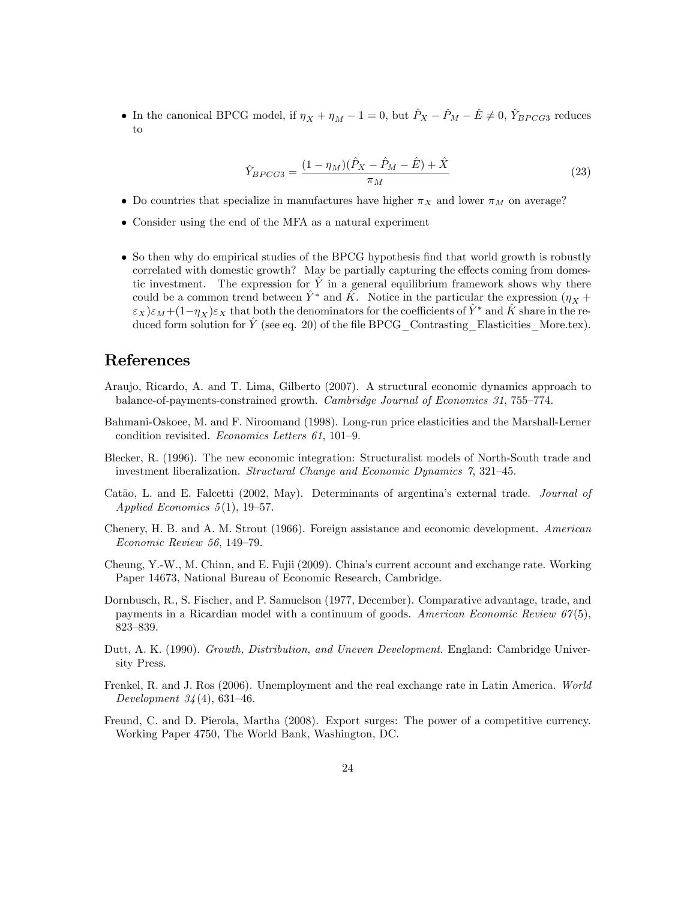• In the canonical BPCG model, if  $\eta_X + \eta_M - 1 = 0$ , but  $\hat{P}_X - \hat{P}_M - \hat{E} \neq 0$ ,  $\hat{Y}_{BPCG3}$  reduces to

$$
\hat{Y}_{BPCG3} = \frac{(1 - \eta_M)(\hat{P}_X - \hat{P}_M - \hat{E}) + \hat{X}}{\pi_M} \tag{23}
$$

- Do countries that specialize in manufactures have higher  $\pi_X$  and lower  $\pi_M$  on average?
- Consider using the end of the MFA as a natural experiment
- So then why do empirical studies of the BPCG hypothesis find that world growth is robustly correlated with domestic growth? May be partially capturing the effects coming from domestic investment. The expression for  $\hat{Y}$  in a general equilibrium framework shows why there could be a common trend between  $\hat{Y}^*$  and  $\hat{K}$ . Notice in the particular the expression ( $\eta_X$  +  $\epsilon_X \epsilon_X \epsilon_M + (1-\eta_X)\epsilon_X$  that both the denominators for the coefficients of  $\hat{Y}^*$  and  $\hat{K}$  share in the reduced form solution for  $\hat{Y}$  (see eq. 20) of the file BPCG Contrasting Elasticities More.tex).

#### References

- Araujo, Ricardo, A. and T. Lima, Gilberto (2007). A structural economic dynamics approach to balance-of-payments-constrained growth. Cambridge Journal of Economics 31, 755-774.
- Bahmani-Oskoee, M. and F. Niroomand (1998). Long-run price elasticities and the Marshall-Lerner condition revisited. Economics Letters 61, 101-9.
- Blecker, R. (1996). The new economic integration: Structuralist models of North-South trade and investment liberalization. Structural Change and Economic Dynamics  $\gamma$ , 321–45.
- Catão, L. and E. Falcetti (2002, May). Determinants of argentina's external trade. Journal of Applied Economics  $5(1)$ , 19-57.
- Chenery, H. B. and A. M. Strout (1966). Foreign assistance and economic development. American Economic Review 56, 149-79.
- Cheung, Y.-W., M. Chinn, and E. Fujii (2009). Chinaís current account and exchange rate. Working Paper 14673, National Bureau of Economic Research, Cambridge.
- Dornbusch, R., S. Fischer, and P. Samuelson (1977, December). Comparative advantage, trade, and payments in a Ricardian model with a continuum of goods. American Economic Review  $67(5)$ , 823-839.
- Dutt, A. K. (1990). Growth, Distribution, and Uneven Development. England: Cambridge University Press.
- Frenkel, R. and J. Ros (2006). Unemployment and the real exchange rate in Latin America. World Development  $34(4)$ , 631-46.
- Freund, C. and D. Pierola, Martha (2008). Export surges: The power of a competitive currency. Working Paper 4750, The World Bank, Washington, DC.